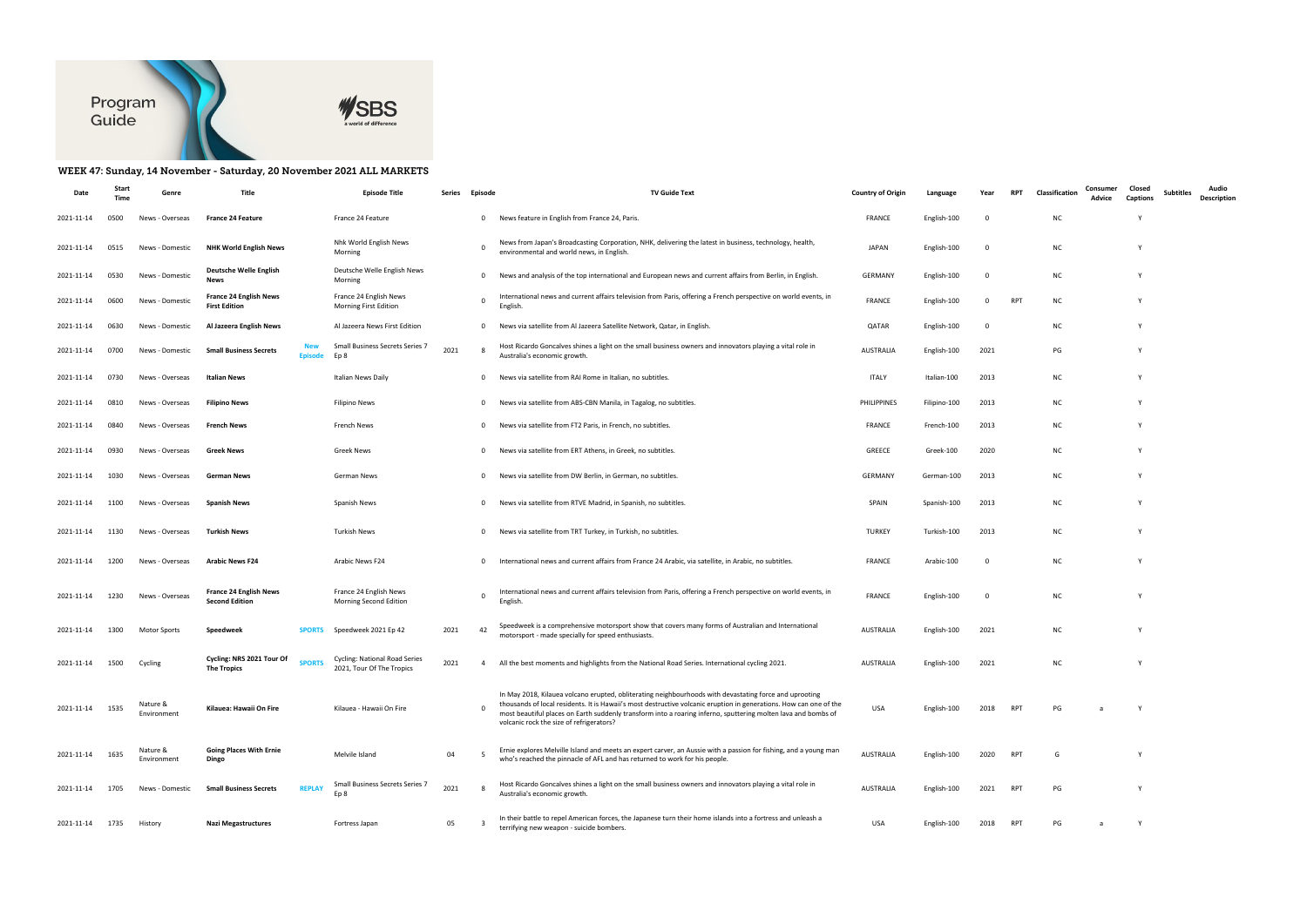

## WEEK 47: Sunday, 14 November - Saturday, 20 November 2021 ALL MARKETS

| Date       | Star<br>Time | Genre                   | Title                                                            | <b>Episode Title</b>                                              | Series | Episode        | TV Guide Text                                                                                                                                                                                                                                                                                                                                                                             | <b>Country of Origin</b> | Language     | Year        | <b>RPT</b> | Classification | Consumer<br>Advice | Closed<br>Captions | Subtitles | Audio<br><b>Description</b> |
|------------|--------------|-------------------------|------------------------------------------------------------------|-------------------------------------------------------------------|--------|----------------|-------------------------------------------------------------------------------------------------------------------------------------------------------------------------------------------------------------------------------------------------------------------------------------------------------------------------------------------------------------------------------------------|--------------------------|--------------|-------------|------------|----------------|--------------------|--------------------|-----------|-----------------------------|
| 2021-11-14 | 0500         | News - Overseas         | France 24 Feature                                                | France 24 Feature                                                 |        | 0              | News feature in English from France 24, Paris.                                                                                                                                                                                                                                                                                                                                            | <b>FRANCE</b>            | English-100  | 0           |            | NC             |                    | Y                  |           |                             |
| 2021-11-14 | 0515         | News - Domestic         | <b>NHK World English News</b>                                    | Nhk World English News<br>Morning                                 |        | $\Omega$       | News from Japan's Broadcasting Corporation, NHK, delivering the latest in business, technology, health,<br>environmental and world news, in English.                                                                                                                                                                                                                                      | JAPAN                    | English-100  | $\mathbf 0$ |            | <b>NC</b>      |                    | Y                  |           |                             |
| 2021-11-14 | 0530         | News - Domestic         | Deutsche Welle English<br><b>News</b>                            | Deutsche Welle English News<br>Morning                            |        | 0              | News and analysis of the top international and European news and current affairs from Berlin, in English.                                                                                                                                                                                                                                                                                 | <b>GERMANY</b>           | English-100  | $\Omega$    |            | <b>NC</b>      |                    | Y                  |           |                             |
| 2021-11-14 | 0600         | News - Domestic         | <b>France 24 English News</b><br><b>First Edition</b>            | France 24 English News<br><b>Morning First Edition</b>            |        | $\Omega$       | International news and current affairs television from Paris, offering a French perspective on world events, in<br>English.                                                                                                                                                                                                                                                               | <b>FRANCE</b>            | English-100  | 0           | RPT        | ΝC             |                    | Y                  |           |                             |
| 2021-11-14 | 0630         | News - Domestic         | Al Jazeera English News                                          | Al Jazeera News First Edition                                     |        | 0              | News via satellite from Al Jazeera Satellite Network, Qatar, in English                                                                                                                                                                                                                                                                                                                   | QATAR                    | English-100  | 0           |            | <b>NC</b>      |                    | Y                  |           |                             |
| 2021-11-14 | 0700         | News - Domestic         | New<br><b>Small Business Secrets</b><br><b>Episode</b>           | <b>Small Business Secrets Series 7</b><br>Ep 8                    | 2021   |                | Host Ricardo Goncalves shines a light on the small business owners and innovators playing a vital role in<br>Australia's economic growth.                                                                                                                                                                                                                                                 | AUSTRALIA                | English-100  | 2021        |            | PG             |                    | Y                  |           |                             |
| 2021-11-14 | 0730         | News - Overseas         | Italian News                                                     | Italian News Daily                                                |        | 0              | News via satellite from RAI Rome in Italian, no subtitles.                                                                                                                                                                                                                                                                                                                                | ITALY                    | Italian-100  | 2013        |            | <b>NC</b>      |                    | Y                  |           |                             |
| 2021-11-14 | 0810         | News - Overseas         | <b>Filipino News</b>                                             | <b>Filipino News</b>                                              |        | 0              | News via satellite from ABS-CBN Manila, in Tagalog, no subtitles.                                                                                                                                                                                                                                                                                                                         | PHILIPPINES              | Filipino-100 | 2013        |            | ΝC             |                    | Y                  |           |                             |
| 2021-11-14 | 0840         | News - Overseas         | French News                                                      | French News                                                       |        | $^{\circ}$     | News via satellite from FT2 Paris, in French, no subtitles.                                                                                                                                                                                                                                                                                                                               | FRANCE                   | French-100   | 2013        |            | <b>NC</b>      |                    | Y                  |           |                             |
| 2021-11-14 | 0930         | News - Overseas         | <b>Greek News</b>                                                | Greek News                                                        |        | 0              | News via satellite from ERT Athens, in Greek, no subtitles.                                                                                                                                                                                                                                                                                                                               | GREECE                   | Greek-100    | 2020        |            | <b>NC</b>      |                    | Y                  |           |                             |
| 2021-11-14 | 1030         | News - Overseas         | German News                                                      | German News                                                       |        | $^{\circ}$     | News via satellite from DW Berlin, in German, no subtitles.                                                                                                                                                                                                                                                                                                                               | <b>GERMANY</b>           | German-100   | 2013        |            | <b>NC</b>      |                    | Y                  |           |                             |
| 2021-11-14 | 1100         | News - Overseas         | <b>Spanish News</b>                                              | Spanish News                                                      |        | 0              | News via satellite from RTVE Madrid, in Spanish, no subtitles.                                                                                                                                                                                                                                                                                                                            | SPAIN                    | Spanish-100  | 2013        |            | <b>NC</b>      |                    | Y                  |           |                             |
| 2021-11-14 | 1130         | News - Overseas         | Turkish News                                                     | <b>Turkish News</b>                                               |        | $^{\circ}$     | News via satellite from TRT Turkey, in Turkish, no subtitles.                                                                                                                                                                                                                                                                                                                             | <b>TURKEY</b>            | Turkish-100  | 2013        |            | ΝC             |                    | Y                  |           |                             |
| 2021-11-14 | 1200         | News - Overseas         | <b>Arabic News F24</b>                                           | Arabic News F24                                                   |        | 0              | International news and current affairs from France 24 Arabic, via satellite, in Arabic, no subtitles.                                                                                                                                                                                                                                                                                     | <b>FRANCE</b>            | Arabic-100   | $\Omega$    |            | <b>NC</b>      |                    | Y                  |           |                             |
| 2021-11-14 | 1230         | News - Overseas         | <b>France 24 English News</b><br><b>Second Edition</b>           | France 24 English News<br>Morning Second Edition                  |        | $\mathbf 0$    | International news and current affairs television from Paris, offering a French perspective on world events, in<br>English.                                                                                                                                                                                                                                                               | <b>FRANCE</b>            | English-100  | 0           |            | <b>NC</b>      |                    | Y                  |           |                             |
| 2021-11-14 | 1300         | <b>Motor Sports</b>     | Speedweek<br><b>SPORTS</b>                                       | Speedweek 2021 Ep 42                                              | 2021   | 42             | Speedweek is a comprehensive motorsport show that covers many forms of Australian and International<br>motorsport - made specially for speed enthusiasts.                                                                                                                                                                                                                                 | <b>AUSTRALIA</b>         | English-100  | 2021        |            | <b>NC</b>      |                    | Y                  |           |                             |
| 2021-11-14 | 1500         | Cycling                 | Cycling: NRS 2021 Tour Of<br><b>SPORTS</b><br><b>The Tropics</b> | <b>Cycling: National Road Series</b><br>2021, Tour Of The Tropics | 2021   | $\overline{a}$ | All the best moments and highlights from the National Road Series. International cycling 2021.                                                                                                                                                                                                                                                                                            | AUSTRALIA                | English-100  | 2021        |            | <b>NC</b>      |                    | <b>Y</b>           |           |                             |
| 2021-11-14 | 1535         | Nature &<br>Environment | Kilauea: Hawaii On Fire                                          | Kilauea - Hawaii On Fire                                          |        |                | In May 2018, Kilauea volcano erupted, obliterating neighbourhoods with devastating force and uprooting<br>thousands of local residents. It is Hawaii's most destructive volcanic eruption in generations. How can one of the<br>most beautiful places on Earth suddenly transform into a roaring inferno, sputtering molten lava and bombs of<br>volcanic rock the size of refrigerators? | <b>USA</b>               | English-100  | 2018        | <b>RPT</b> | PG             | a                  | Y                  |           |                             |
| 2021-11-14 | 1635         | Nature &<br>Environment | <b>Going Places With Ernie</b><br>Dingo                          | Melvile Island                                                    | 04     |                | Ernie explores Melville Island and meets an expert carver, an Aussie with a passion for fishing, and a young man<br>who's reached the pinnacle of AFL and has returned to work for his people.                                                                                                                                                                                            | AUSTRALIA                | English-100  | 2020        | RPT        | G              |                    | Y                  |           |                             |
| 2021-11-14 | 1705         | News - Domestic         | <b>REPLAY</b><br><b>Small Business Secrets</b>                   | Small Business Secrets Series 7<br>Ep 8                           | 2021   | -8             | Host Ricardo Goncalves shines a light on the small business owners and innovators playing a vital role in<br>Australia's economic growth.                                                                                                                                                                                                                                                 | AUSTRALIA                | English-100  | 2021        | RPT        | PG             |                    | Y                  |           |                             |
| 2021-11-14 | 1735         | History                 | <b>Nazi Megastructures</b>                                       | Fortress Japan                                                    | 05     |                | In their battle to repel American forces, the Japanese turn their home islands into a fortress and unleash a<br>terrifying new weapon - suicide bombers.                                                                                                                                                                                                                                  | USA                      | English-100  | 2018        | RPT        | PG             | a                  | Y                  |           |                             |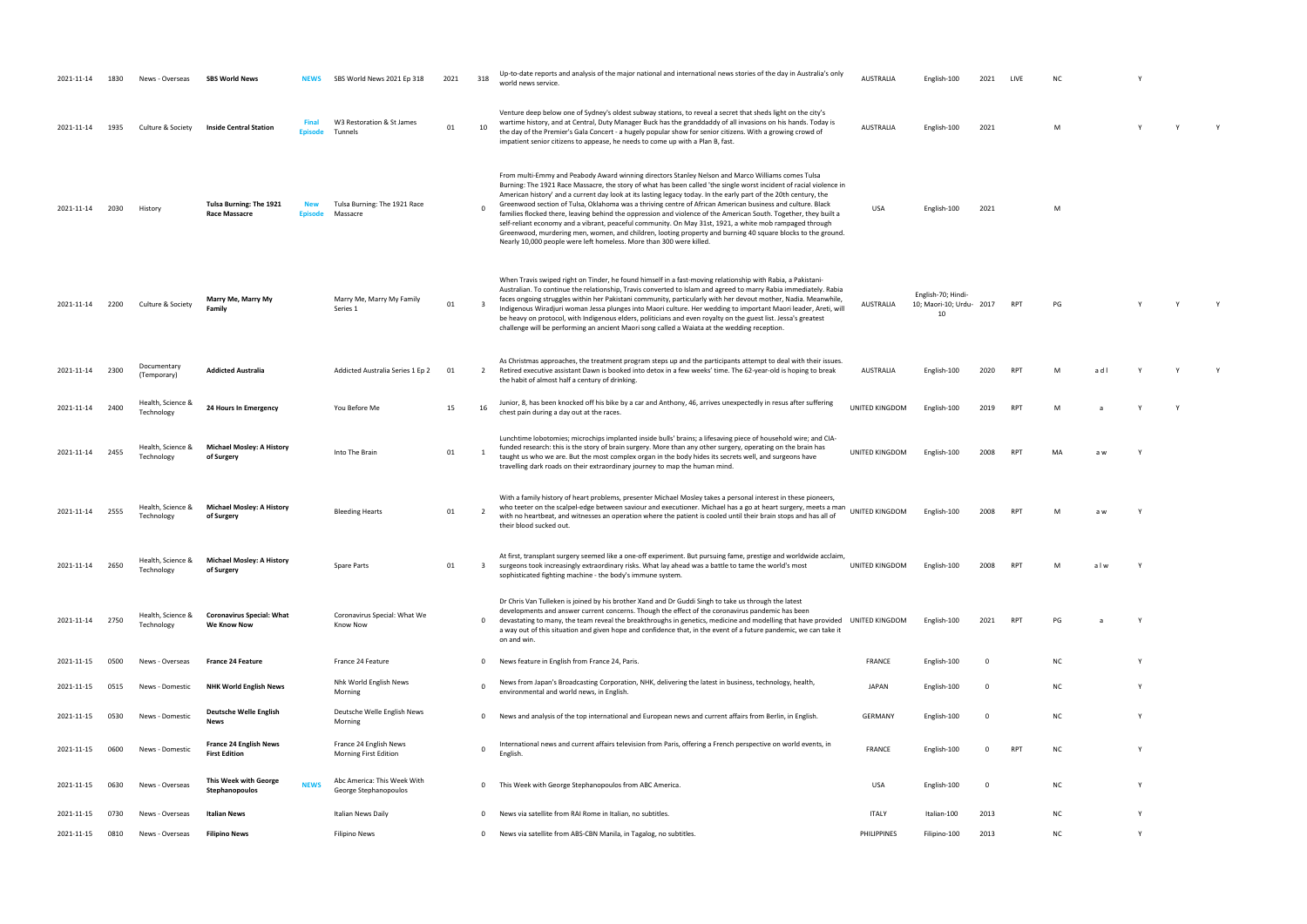| 2021-11-14      | 1830 | News - Overseas                 | <b>SBS World News</b><br><b>NEWS</b>                              | SBS World News 2021 Ep 318                           | 2021 | 318                     | Up-to-date reports and analysis of the major national and international news stories of the day in Australia's only<br>world news service.                                                                                                                                                                                                                                                                                                                                                                                                                                                                                                                                                                                                                                                                                                                                      | <b>AUSTRALIA</b> | English-100                                          | 2021     | LIVE       | NC        |     |   |  |
|-----------------|------|---------------------------------|-------------------------------------------------------------------|------------------------------------------------------|------|-------------------------|---------------------------------------------------------------------------------------------------------------------------------------------------------------------------------------------------------------------------------------------------------------------------------------------------------------------------------------------------------------------------------------------------------------------------------------------------------------------------------------------------------------------------------------------------------------------------------------------------------------------------------------------------------------------------------------------------------------------------------------------------------------------------------------------------------------------------------------------------------------------------------|------------------|------------------------------------------------------|----------|------------|-----------|-----|---|--|
| 2021-11-14      | 1935 | Culture & Society               | Final<br><b>Inside Central Station</b><br><b>Episode</b>          | W3 Restoration & St James<br>Tunnels                 | 01   | 10                      | Venture deep below one of Sydney's oldest subway stations, to reveal a secret that sheds light on the city's<br>wartime history, and at Central, Duty Manager Buck has the granddaddy of all invasions on his hands. Today is<br>the day of the Premier's Gala Concert - a hugely popular show for senior citizens. With a growing crowd of<br>impatient senior citizens to appease, he needs to come up with a Plan B, fast.                                                                                                                                                                                                                                                                                                                                                                                                                                                   | <b>AUSTRALIA</b> | English-100                                          | 2021     |            | M         |     |   |  |
| 2021-11-14      | 2030 | History                         | Tulsa Burning: The 1921<br><b>New</b><br>Episode<br>Race Massacre | Tulsa Burning: The 1921 Race<br>Massacre             |      |                         | From multi-Emmy and Peabody Award winning directors Stanley Nelson and Marco Williams comes Tulsa<br>Burning: The 1921 Race Massacre, the story of what has been called 'the single worst incident of racial violence in<br>American history' and a current day look at its lasting legacy today. In the early part of the 20th century, the<br>Greenwood section of Tulsa, Oklahoma was a thriving centre of African American business and culture. Black<br>families flocked there, leaving behind the oppression and violence of the American South. Together, they built a<br>self-reliant economy and a vibrant, peaceful community. On May 31st, 1921, a white mob rampaged through<br>Greenwood, murdering men, women, and children, looting property and burning 40 square blocks to the ground.<br>Nearly 10,000 people were left homeless. More than 300 were killed. | USA              | English-100                                          | 2021     |            | M         |     |   |  |
| 2021-11-14      | 2200 | Culture & Society               | Marry Me, Marry My<br>Family                                      | Marry Me, Marry My Family<br>Series 1                | 01   | $\overline{\mathbf{3}}$ | When Travis swiped right on Tinder, he found himself in a fast-moving relationship with Rabia, a Pakistani-<br>Australian. To continue the relationship, Travis converted to Islam and agreed to marry Rabia immediately. Rabia<br>faces ongoing struggles within her Pakistani community, particularly with her devout mother, Nadia. Meanwhile,<br>Indigenous Wiradjuri woman Jessa plunges into Maori culture. Her wedding to important Maori leader, Areti, will<br>be heavy on protocol, with Indigenous elders, politicians and even royalty on the guest list. Jessa's greatest<br>challenge will be performing an ancient Maori song called a Waiata at the wedding reception.                                                                                                                                                                                          | AUSTRALIA        | English-70; Hindi-<br>10; Maori-10; Urdu- 2017<br>10 |          | <b>RPT</b> | PG        |     |   |  |
| 2021-11-14      | 2300 | Documentary<br>(Temporary)      | <b>Addicted Australia</b>                                         | Addicted Australia Series 1 Ep 2                     | 01   | 2                       | As Christmas approaches, the treatment program steps up and the participants attempt to deal with their issues.<br>Retired executive assistant Dawn is booked into detox in a few weeks' time. The 62-year-old is hoping to break<br>the habit of almost half a century of drinking.                                                                                                                                                                                                                                                                                                                                                                                                                                                                                                                                                                                            | AUSTRALIA        | English-100                                          | 2020     | <b>RPT</b> | M         | adl |   |  |
| 2021-11-14 2400 |      | Health, Science &<br>Technology | 24 Hours In Emergency                                             | You Before Me                                        | 15   | 16                      | Junior, 8, has been knocked off his bike by a car and Anthony, 46, arrives unexpectedly in resus after suffering<br>chest pain during a day out at the races.                                                                                                                                                                                                                                                                                                                                                                                                                                                                                                                                                                                                                                                                                                                   | UNITED KINGDOM   | English-100                                          | 2019     | <b>RPT</b> | M         |     |   |  |
| 2021-11-14 2455 |      | Health, Science &<br>Technology | <b>Michael Mosley: A History</b><br>of Surgery                    | Into The Brain                                       | 01   |                         | Lunchtime lobotomies; microchips implanted inside bulls' brains; a lifesaving piece of household wire; and CIA-<br>funded research: this is the story of brain surgery. More than any other surgery, operating on the brain has<br>taught us who we are. But the most complex organ in the body hides its secrets well, and surgeons have<br>travelling dark roads on their extraordinary journey to map the human mind.                                                                                                                                                                                                                                                                                                                                                                                                                                                        | UNITED KINGDOM   | English-100                                          | 2008     | <b>RPT</b> |           |     |   |  |
| 2021-11-14      | 2555 | Health, Science &<br>Technology | <b>Michael Mosley: A History</b><br>of Surgery                    | <b>Bleeding Hearts</b>                               | 01   | $\overline{\mathbf{2}}$ | With a family history of heart problems, presenter Michael Mosley takes a personal interest in these pioneers,<br>who teeter on the scalpel-edge between saviour and executioner. Michael has a go at heart surgery, meets a man<br>with no heartbeat, and witnesses an operation where the patient is cooled until their brain stops and has all of<br>their blood sucked out.                                                                                                                                                                                                                                                                                                                                                                                                                                                                                                 | UNITED KINGDOM   | English-100                                          |          |            |           |     |   |  |
| 2021-11-14      | 2650 | Health, Science &<br>Technology | <b>Michael Mosley: A History</b><br>of Surgery                    | Spare Parts                                          | 01   |                         | At first, transplant surgery seemed like a one-off experiment. But pursuing fame, prestige and worldwide acclaim,<br>surgeons took increasingly extraordinary risks. What lay ahead was a battle to tame the world's most<br>sophisticated fighting machine - the body's immune system.                                                                                                                                                                                                                                                                                                                                                                                                                                                                                                                                                                                         | UNITED KINGDOM   | English-100                                          |          |            |           |     |   |  |
| 2021-11-14 2750 |      | Health, Science &<br>Technology | <b>Coronavirus Special: What</b><br>We Know Now                   | Coronavirus Special: What We<br><b>Know Now</b>      |      | $\mathbf{0}$            | Dr Chris Van Tulleken is joined by his brother Xand and Dr Guddi Singh to take us through the latest<br>developments and answer current concerns. Though the effect of the coronavirus pandemic has been<br>devastating to many, the team reveal the breakthroughs in genetics, medicine and modelling that have provided<br>a way out of this situation and given hope and confidence that, in the event of a future pandemic, we can take it<br>on and win.                                                                                                                                                                                                                                                                                                                                                                                                                   | UNITED KINGDOM   | English-100                                          | 2021     | RPT        | PG        |     |   |  |
| 2021-11-15      | 0500 | News - Overseas                 | <b>France 24 Feature</b>                                          | France 24 Feature                                    |      | $^{\circ}$              | News feature in English from France 24, Paris.                                                                                                                                                                                                                                                                                                                                                                                                                                                                                                                                                                                                                                                                                                                                                                                                                                  | FRANCE           | English-100                                          |          |            | NC        |     |   |  |
| 2021-11-15      | 0515 | News - Domestic                 | <b>NHK World English News</b>                                     | Nhk World English News<br>Morning                    |      | $\mathbf 0$             | News from Japan's Broadcasting Corporation, NHK, delivering the latest in business, technology, health,<br>environmental and world news, in English.                                                                                                                                                                                                                                                                                                                                                                                                                                                                                                                                                                                                                                                                                                                            | <b>JAPAN</b>     | English-100                                          |          |            | <b>NC</b> |     | Υ |  |
| 2021-11-15      | 0530 | News - Domestic                 | Deutsche Welle English<br><b>News</b>                             | Deutsche Welle English News<br>Morning               |      | 0                       | News and analysis of the top international and European news and current affairs from Berlin, in English.                                                                                                                                                                                                                                                                                                                                                                                                                                                                                                                                                                                                                                                                                                                                                                       | <b>GERMANY</b>   | English-100                                          |          |            | $NC$      |     |   |  |
| 2021-11-15      | 0600 | News - Domestic                 | <b>France 24 English News</b><br><b>First Edition</b>             | France 24 English News<br>Morning First Edition      |      | $\mathbf 0$             | International news and current affairs television from Paris, offering a French perspective on world events, in<br>English.                                                                                                                                                                                                                                                                                                                                                                                                                                                                                                                                                                                                                                                                                                                                                     | <b>FRANCE</b>    | English-100                                          | $\Omega$ | <b>RPT</b> | <b>NC</b> |     |   |  |
| 2021-11-15      | 0630 | News - Overseas                 | This Week with George<br><b>NEWS</b><br>Stephanopoulos            | Abc America: This Week With<br>George Stephanopoulos |      | $\mathbf{0}$            | This Week with George Stephanopoulos from ABC America.                                                                                                                                                                                                                                                                                                                                                                                                                                                                                                                                                                                                                                                                                                                                                                                                                          | USA              | English-100                                          |          |            | <b>NC</b> |     |   |  |
| 2021-11-15      | 0730 | News - Overseas                 | Italian News                                                      | Italian News Daily                                   |      | 0                       | News via satellite from RAI Rome in Italian, no subtitles.                                                                                                                                                                                                                                                                                                                                                                                                                                                                                                                                                                                                                                                                                                                                                                                                                      | <b>ITALY</b>     | Italian-100                                          | 2013     |            | <b>NC</b> |     | Υ |  |
| 2021-11-15      | 0810 | News - Overseas                 | <b>Filipino News</b>                                              | <b>Filipino News</b>                                 |      | $\mathbf{0}$            | News via satellite from ABS-CBN Manila, in Tagalog, no subtitles.                                                                                                                                                                                                                                                                                                                                                                                                                                                                                                                                                                                                                                                                                                                                                                                                               | PHILIPPINES      | Filipino-100                                         | 2013     |            | NC        |     | Υ |  |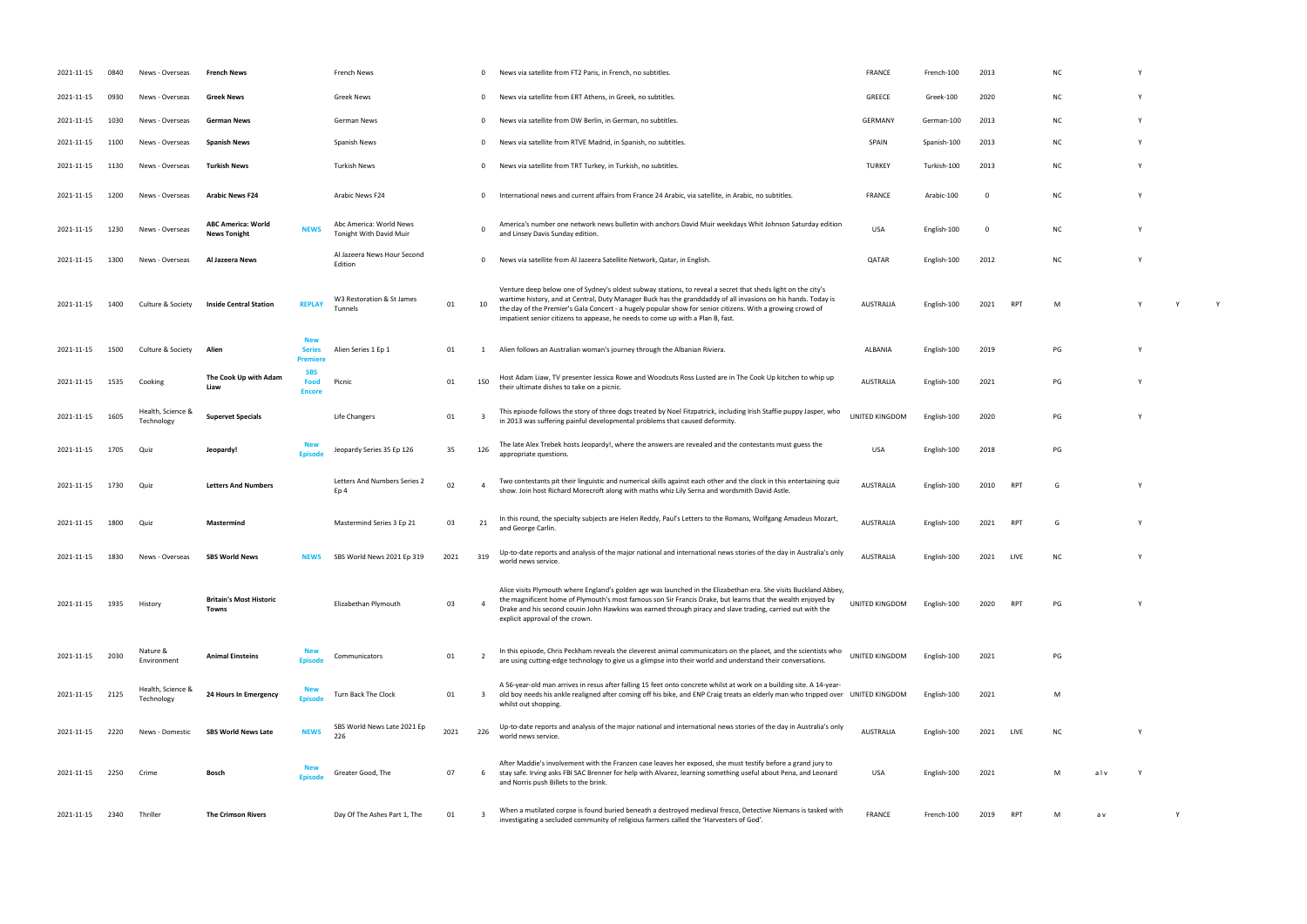| 2021-11-15 | 0840 | News - Overseas                 | <b>French News</b>                               |                                        | French News                                        |      | 0                       | News via satellite from FT2 Paris, in French, no subtitles.                                                                                                                                                                                                                                                                                                                                                                   | <b>FRANCE</b>    | French-100  | 2013        |            | N0        |     |          |   |  |
|------------|------|---------------------------------|--------------------------------------------------|----------------------------------------|----------------------------------------------------|------|-------------------------|-------------------------------------------------------------------------------------------------------------------------------------------------------------------------------------------------------------------------------------------------------------------------------------------------------------------------------------------------------------------------------------------------------------------------------|------------------|-------------|-------------|------------|-----------|-----|----------|---|--|
| 2021-11-15 | 0930 | News - Overseas                 | <b>Greek News</b>                                |                                        | Greek News                                         |      | $\mathbf 0$             | News via satellite from ERT Athens, in Greek, no subtitles.                                                                                                                                                                                                                                                                                                                                                                   | GREECE           | Greek-100   | 2020        |            | ΝC        |     |          |   |  |
| 2021-11-15 | 1030 | News - Overseas                 | German News                                      |                                        | German News                                        |      | $\mathbf 0$             | News via satellite from DW Berlin, in German, no subtitles.                                                                                                                                                                                                                                                                                                                                                                   | <b>GERMANY</b>   | German-100  | 2013        |            | <b>NC</b> |     |          |   |  |
| 2021-11-15 | 1100 | News - Overseas                 | <b>Spanish News</b>                              |                                        | Spanish News                                       |      | $\mathbf{0}$            | News via satellite from RTVE Madrid, in Spanish, no subtitles.                                                                                                                                                                                                                                                                                                                                                                | SPAIN            | Spanish-100 | 2013        |            | NC        |     |          |   |  |
| 2021-11-15 | 1130 | News - Overseas                 | <b>Turkish News</b>                              |                                        | Turkish News                                       |      | $\mathbf 0$             | News via satellite from TRT Turkey, in Turkish, no subtitles.                                                                                                                                                                                                                                                                                                                                                                 | <b>TURKEY</b>    | Turkish-100 | 2013        |            | NC        |     |          |   |  |
| 2021-11-15 | 1200 | News - Overseas                 | <b>Arabic News F24</b>                           |                                        | Arabic News F24                                    |      | $\mathbf{0}$            | International news and current affairs from France 24 Arabic, via satellite, in Arabic, no subtitles.                                                                                                                                                                                                                                                                                                                         | <b>FRANCE</b>    | Arabic-100  | $\mathbf 0$ |            | <b>NC</b> |     |          |   |  |
| 2021-11-15 | 1230 | News - Overseas                 | <b>ABC America: World</b><br><b>News Tonight</b> | <b>NEWS</b>                            | Abc America: World News<br>Tonight With David Muir |      | - 0                     | America's number one network news bulletin with anchors David Muir weekdays Whit Johnson Saturday edition<br>and Linsey Davis Sunday edition.                                                                                                                                                                                                                                                                                 | USA              | English-100 | 0           |            | NC        |     | Y        |   |  |
| 2021-11-15 | 1300 | News - Overseas                 | Al Jazeera News                                  |                                        | Al Jazeera News Hour Second<br>Edition             |      | $\Omega$                | News via satellite from Al Jazeera Satellite Network, Qatar, in English                                                                                                                                                                                                                                                                                                                                                       | QATAR            | English-100 | 2012        |            | <b>NC</b> |     |          |   |  |
| 2021-11-15 | 1400 | Culture & Society               | <b>Inside Central Station</b>                    | <b>REPLAY</b>                          | W3 Restoration & St James<br>Tunnels               | 01   | 10                      | Venture deep below one of Sydney's oldest subway stations, to reveal a secret that sheds light on the city's<br>wartime history, and at Central, Duty Manager Buck has the granddaddy of all invasions on his hands. Today is<br>the day of the Premier's Gala Concert - a hugely popular show for senior citizens. With a growing crowd of<br>impatient senior citizens to appease, he needs to come up with a Plan B, fast. | AUSTRALIA        | English-100 | 2021        | <b>RPT</b> | M         |     |          |   |  |
| 2021-11-15 | 1500 | Culture & Society               | Alien                                            | <b>New</b><br><b>Series</b><br>Premier | Alien Series 1 Ep 1                                | 01   |                         | Alien follows an Australian woman's journey through the Albanian Riviera.                                                                                                                                                                                                                                                                                                                                                     | ALBANIA          | English-100 | 2019        |            | PG        |     |          |   |  |
| 2021-11-15 | 1535 | Cooking                         | The Cook Up with Adam<br>Liaw                    | <b>SBS</b><br>Food<br><b>Encore</b>    | Picnic                                             | 01   | 150                     | Host Adam Liaw, TV presenter Jessica Rowe and Woodcuts Ross Lusted are in The Cook Up kitchen to whip up<br>their ultimate dishes to take on a picnic.                                                                                                                                                                                                                                                                        | <b>AUSTRALIA</b> | English-100 | 2021        |            | PG        |     |          |   |  |
| 2021-11-15 | 1605 | Health, Science &<br>Technology | <b>Supervet Specials</b>                         |                                        | Life Changers                                      | 01   | - 3                     | This episode follows the story of three dogs treated by Noel Fitzpatrick, including Irish Staffie puppy Jasper, who<br>in 2013 was suffering painful developmental problems that caused deformity.                                                                                                                                                                                                                            | UNITED KINGDOM   | English-100 | 2020        |            | PG        |     |          |   |  |
| 2021-11-15 | 1705 | Quiz                            | Jeopardy!                                        | Episod                                 | Jeopardy Series 35 Ep 126                          | 35   | 126                     | The late Alex Trebek hosts Jeopardy!, where the answers are revealed and the contestants must guess the<br>appropriate questions.                                                                                                                                                                                                                                                                                             | <b>USA</b>       | English-100 | 2018        |            | PG        |     |          |   |  |
| 2021-11-15 | 1730 | Quiz                            | <b>Letters And Numbers</b>                       |                                        | Letters And Numbers Series 2<br>Ep 4               | 02   | $\overline{4}$          | Two contestants pit their linguistic and numerical skills against each other and the clock in this entertaining quiz<br>show. Join host Richard Morecroft along with maths whiz Lily Serna and wordsmith David Astle.                                                                                                                                                                                                         | AUSTRALIA        | English-100 | 2010        | <b>RPT</b> | G         |     |          |   |  |
| 2021-11-15 | 1800 | Quiz                            | Mastermind                                       |                                        | Mastermind Series 3 Ep 21                          | 03   | 21                      | In this round, the specialty subjects are Helen Reddy, Paul's Letters to the Romans, Wolfgang Amadeus Mozart,<br>and George Carlin.                                                                                                                                                                                                                                                                                           | AUSTRALIA        | English-100 | 2021        | <b>RPT</b> | G         |     | <b>V</b> |   |  |
| 2021-11-15 | 1830 | News - Overseas                 | <b>SBS World News</b>                            | <b>NEWS</b>                            | SBS World News 2021 Ep 319                         | 2021 | 319                     | Up-to-date reports and analysis of the major national and international news stories of the day in Australia's only<br>world news service.                                                                                                                                                                                                                                                                                    | AUSTRALIA        | English-100 | 2021 LIVE   |            | ΝC        |     |          |   |  |
| 2021-11-15 | 1935 | History                         | <b>Britain's Most Historic</b><br>Towns          |                                        | Elizabethan Plymouth                               | 03   | $\overline{4}$          | Alice visits Plymouth where England's golden age was launched in the Elizabethan era. She visits Buckland Abbey,<br>the magnificent home of Plymouth's most famous son Sir Francis Drake, but learns that the wealth enjoyed by<br>Drake and his second cousin John Hawkins was earned through piracy and slave trading, carried out with the<br>explicit approval of the crown.                                              | UNITED KINGDOM   | English-100 | 2020        | <b>RPT</b> | PG        |     |          |   |  |
| 2021-11-15 | 2030 | Nature &<br>Environment         | <b>Animal Einsteins</b>                          |                                        | Communicators                                      | 01   | $\overline{2}$          | In this episode, Chris Peckham reveals the cleverest animal communicators on the planet, and the scientists who<br>are using cutting-edge technology to give us a glimpse into their world and understand their conversations.                                                                                                                                                                                                | UNITED KINGDOM   | English-100 | 2021        |            | PG        |     |          |   |  |
| 2021-11-15 | 2125 | Health, Science &<br>Technology | 24 Hours In Emergency                            |                                        | Turn Back The Clock                                | 01   | $\overline{\mathbf{3}}$ | A 56-year-old man arrives in resus after falling 15 feet onto concrete whilst at work on a building site. A 14-year-<br>old boy needs his ankle realigned after coming off his bike, and ENP Craig treats an elderly man who tripped over UNITED KINGDOM<br>whilst out shopping.                                                                                                                                              |                  | English-100 | 2021        |            | M         |     |          |   |  |
| 2021-11-15 | 2220 | News - Domestic                 | <b>SBS World News Late</b>                       | <b>NEWS</b>                            | SBS World News Late 2021 Ep<br>226                 | 2021 | 226                     | Up-to-date reports and analysis of the major national and international news stories of the day in Australia's only<br>world news service.                                                                                                                                                                                                                                                                                    | <b>AUSTRALIA</b> | English-100 | 2021        | LIVE       | ΝC        |     |          |   |  |
| 2021-11-15 | 2250 | Crime                           | Bosch                                            | Episode                                | Greater Good, The                                  | 07   | - 6                     | After Maddie's involvement with the Franzen case leaves her exposed, she must testify before a grand jury to<br>stay safe. Irving asks FBI SAC Brenner for help with Alvarez, learning something useful about Pena, and Leonard<br>and Norris push Billets to the brink.                                                                                                                                                      | <b>USA</b>       | English-100 | 2021        |            |           | alv | Y        |   |  |
| 2021-11-15 | 2340 | Thriller                        | <b>The Crimson Rivers</b>                        |                                        | Day Of The Ashes Part 1, The                       | 01   | - 3                     | When a mutilated corpse is found buried beneath a destroyed medieval fresco, Detective Niemans is tasked with<br>investigating a secluded community of religious farmers called the 'Harvesters of God'.                                                                                                                                                                                                                      | <b>FRANCE</b>    | French-100  | 2019        |            |           | a v |          | Y |  |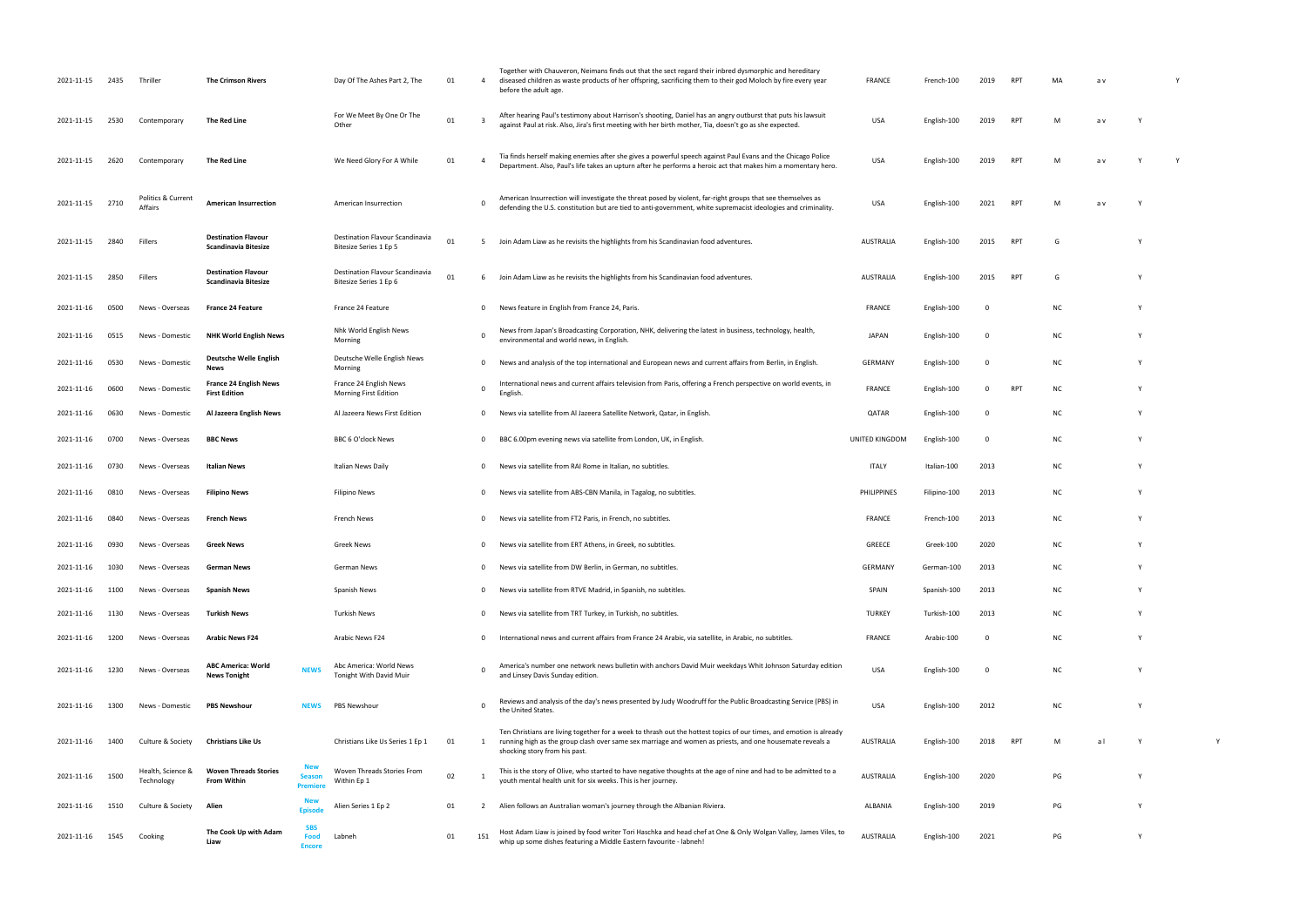| 2021-11-15 | 2435 | Thriller                        | <b>The Crimson Rivers</b>                                 | Day Of The Ashes Part 2, The                                                  | 01 | 4              | Together with Chauveron, Neimans finds out that the sect regard their inbred dysmorphic and hereditary<br>diseased children as waste products of her offspring, sacrificing them to their god Moloch by fire every year<br>before the adult age.                 | <b>FRANCE</b>    | French-100   | 2019     | <b>RPT</b>      | MA        | a v |              |  |
|------------|------|---------------------------------|-----------------------------------------------------------|-------------------------------------------------------------------------------|----|----------------|------------------------------------------------------------------------------------------------------------------------------------------------------------------------------------------------------------------------------------------------------------------|------------------|--------------|----------|-----------------|-----------|-----|--------------|--|
| 2021-11-15 | 2530 | Contemporary                    | The Red Line                                              | For We Meet By One Or The<br>Other                                            | 01 | $\overline{3}$ | After hearing Paul's testimony about Harrison's shooting, Daniel has an angry outburst that puts his lawsuit<br>against Paul at risk. Also, Jira's first meeting with her birth mother, Tia, doesn't go as she expected.                                         | USA              | English-100  | 2019     | <b>RPT</b>      | M         | a v | Y            |  |
| 2021-11-15 | 2620 | Contemporary                    | The Red Line                                              | We Need Glory For A While                                                     | 01 | $\overline{a}$ | Tia finds herself making enemies after she gives a powerful speech against Paul Evans and the Chicago Police<br>Department. Also, Paul's life takes an upturn after he performs a heroic act that makes him a momentary hero.                                    | USA              | English-100  | 2019     | RPT             | M         | a v |              |  |
| 2021-11-15 | 2710 | Politics & Current<br>Affairs   | <b>American Insurrection</b>                              | American Insurrection                                                         |    | 0              | American Insurrection will investigate the threat posed by violent, far-right groups that see themselves as<br>defending the U.S. constitution but are tied to anti-government, white supremacist ideologies and criminality.                                    | USA              | English-100  | 2021     | <b>RPT</b>      | M         | a v | Y            |  |
| 2021-11-15 | 2840 | Fillers                         | <b>Destination Flavour</b><br>Scandinavia Bitesize        | Destination Flavour Scandinavia<br>Bitesize Series 1 Ep 5                     | 01 | -5             | Join Adam Liaw as he revisits the highlights from his Scandinavian food adventures.                                                                                                                                                                              | AUSTRALIA        | English-100  | 2015     | <b>RPT</b>      | G         |     | Y            |  |
| 2021-11-15 | 2850 | Fillers                         | <b>Destination Flavour</b><br><b>Scandinavia Bitesize</b> | Destination Flavour Scandinavia<br>Bitesize Series 1 Ep 6                     | 01 |                | Join Adam Liaw as he revisits the highlights from his Scandinavian food adventures.                                                                                                                                                                              | <b>AUSTRALIA</b> | English-100  | 2015     | RPT             | G         |     | $\mathsf{v}$ |  |
| 2021-11-16 | 0500 | News - Overseas                 | <b>France 24 Feature</b>                                  | France 24 Feature                                                             |    | $^{\circ}$     | News feature in English from France 24, Paris.                                                                                                                                                                                                                   | <b>FRANCE</b>    | English-100  | $\Omega$ |                 | <b>NC</b> |     | Y            |  |
| 2021-11-16 | 0515 | News - Domestic                 | <b>NHK World English News</b>                             | Nhk World English News<br>Morning                                             |    | $\Omega$       | News from Japan's Broadcasting Corporation, NHK, delivering the latest in business, technology, health,<br>environmental and world news, in English.                                                                                                             | <b>JAPAN</b>     | English-100  | - 0      |                 | NC        |     | Y            |  |
| 2021-11-16 | 0530 | News - Domestic                 | <b>Deutsche Welle English</b><br>News                     | Deutsche Welle English News<br>Morning                                        |    | $\Omega$       | News and analysis of the top international and European news and current affairs from Berlin, in English.                                                                                                                                                        | <b>GERMANY</b>   | English-100  | - 0      |                 | NC        |     | Y            |  |
| 2021-11-16 | 0600 | News - Domestic                 | <b>France 24 English News</b><br><b>First Edition</b>     | France 24 English News<br>Morning First Edition                               |    | $\Omega$       | International news and current affairs television from Paris, offering a French perspective on world events, in<br>English.                                                                                                                                      | <b>FRANCE</b>    | English-100  | 0        | RPT             | <b>NC</b> |     | Y            |  |
| 2021-11-16 | 0630 | News - Domestic                 | Al Jazeera English News                                   | Al Jazeera News First Edition                                                 |    | $^{\circ}$     | News via satellite from Al Jazeera Satellite Network, Qatar, in English.                                                                                                                                                                                         | QATAR            | English-100  | 0        |                 | <b>NC</b> |     | Y            |  |
| 2021-11-16 | 0700 | News - Overseas                 | <b>BBC News</b>                                           | <b>BBC 6 O'clock News</b>                                                     |    | $\mathbf 0$    | BBC 6.00pm evening news via satellite from London, UK, in English.                                                                                                                                                                                               | UNITED KINGDOM   | English-100  | - 0      |                 | NC        |     |              |  |
| 2021-11-16 | 0730 | News - Overseas                 | Italian News                                              | <b>Italian News Daily</b>                                                     |    | $\mathbf 0$    | News via satellite from RAI Rome in Italian, no subtitles.                                                                                                                                                                                                       | <b>ITALY</b>     | Italian-100  | 2013     |                 | NC        |     | Y            |  |
| 2021-11-16 | 0810 | News - Overseas                 | <b>Filipino News</b>                                      | <b>Filipino News</b>                                                          |    | $^{\circ}$     | News via satellite from ABS-CBN Manila, in Tagalog, no subtitles.                                                                                                                                                                                                | PHILIPPINES      | Filipino-100 | 2013     |                 | NC        |     | Y            |  |
| 2021-11-16 | 0840 | News - Overseas                 | French News                                               | French News                                                                   |    | $^{\circ}$     | News via satellite from FT2 Paris, in French, no subtitles.                                                                                                                                                                                                      | <b>FRANCE</b>    | French-100   | 2013     |                 | NC        |     |              |  |
| 2021-11-16 | 0930 | News - Overseas                 | <b>Greek News</b>                                         | <b>Greek News</b>                                                             |    | $^{\circ}$     | News via satellite from ERT Athens, in Greek, no subtitles.                                                                                                                                                                                                      | <b>GREECE</b>    | Greek-100    | 2020     |                 | <b>NC</b> |     |              |  |
| 2021-11-16 | 1030 | News - Overseas                 | <b>German News</b>                                        | German News                                                                   |    | $\Omega$       | News via satellite from DW Berlin, in German, no subtitles.                                                                                                                                                                                                      | <b>GERMANY</b>   | German-100   | 2013     |                 | NC        |     |              |  |
| 2021-11-16 | 1100 | News - Overseas                 | <b>Spanish News</b>                                       | Spanish News                                                                  |    | $\mathbf 0$    | News via satellite from RTVE Madrid, in Spanish, no subtitles.                                                                                                                                                                                                   | SPAIN            | Spanish-100  | 2013     |                 | NC        |     | $\mathsf{v}$ |  |
| 2021-11-16 | 1130 | News - Overseas                 | Turkish News                                              | <b>Turkish News</b>                                                           |    | $\mathbf 0$    | News via satellite from TRT Turkey, in Turkish, no subtitles.                                                                                                                                                                                                    | <b>TURKEY</b>    | Turkish-100  | 2013     |                 | NC        |     | Y            |  |
| 2021-11-16 | 1200 | News - Overseas                 | <b>Arabic News F24</b>                                    | Arabic News F24                                                               |    | $\mathbf 0$    | International news and current affairs from France 24 Arabic, via satellite, in Arabic, no subtitles.                                                                                                                                                            | <b>FRANCE</b>    | Arabic-100   | - 0      |                 | NC        |     | Y            |  |
| 2021-11-16 | 1230 | News - Overseas                 | <b>ABC America: World</b><br><b>News Tonight</b>          | Abc America: World News<br><b>NEWS</b><br>Tonight With David Muir             |    | $\mathbf 0$    | America's number one network news bulletin with anchors David Muir weekdays Whit Johnson Saturday edition<br>and Linsey Davis Sunday edition.                                                                                                                    | USA              | English-100  | - 0      |                 | <b>NC</b> |     | Y            |  |
| 2021-11-16 | 1300 | News - Domestic                 | <b>PBS Newshour</b>                                       | <b>NEWS</b><br>PBS Newshour                                                   |    | $\Omega$       | Reviews and analysis of the day's news presented by Judy Woodruff for the Public Broadcasting Service (PBS) in<br>the United States.                                                                                                                             | USA              | English-100  | 2012     |                 | <b>NC</b> |     |              |  |
| 2021-11-16 | 1400 | Culture & Society               | <b>Christians Like Us</b>                                 | Christians Like Us Series 1 Ep 1                                              | 01 |                | Ten Christians are living together for a week to thrash out the hottest topics of our times, and emotion is already<br>running high as the group clash over same sex marriage and women as priests, and one housemate reveals a<br>shocking story from his past. | <b>AUSTRALIA</b> | English-100  | 2018     | RP <sup>1</sup> | м         |     |              |  |
| 2021-11-16 | 1500 | Health, Science &<br>Technology | <b>Woven Threads Stories</b><br><b>From Within</b>        | New<br>Woven Threads Stories From<br><b>Season</b><br>Within Ep 1<br>Premiere | 02 | 1              | This is the story of Olive, who started to have negative thoughts at the age of nine and had to be admitted to a<br>youth mental health unit for six weeks. This is her journey.                                                                                 | <b>AUSTRALIA</b> | English-100  | 2020     |                 | PG        |     | Y            |  |
| 2021-11-16 | 1510 | Culture & Society               | Alien                                                     | <b>New</b><br>Alien Series 1 Ep 2<br><b>Episode</b>                           | 01 | -2             | Alien follows an Australian woman's journey through the Albanian Riviera.                                                                                                                                                                                        | ALBANIA          | English-100  | 2019     |                 | PG        |     | Y            |  |
| 2021-11-16 | 1545 | Cooking                         | The Cook Up with Adam<br>Liaw                             | <b>SBS</b><br><b>Food</b><br>Labneh<br><b>Encore</b>                          | 01 | 151            | Host Adam Liaw is joined by food writer Tori Haschka and head chef at One & Only Wolgan Valley, James Viles, to<br>whip up some dishes featuring a Middle Eastern favourite - labneh!                                                                            | <b>AUSTRALIA</b> | English-100  | 2021     |                 | PG        |     | Y            |  |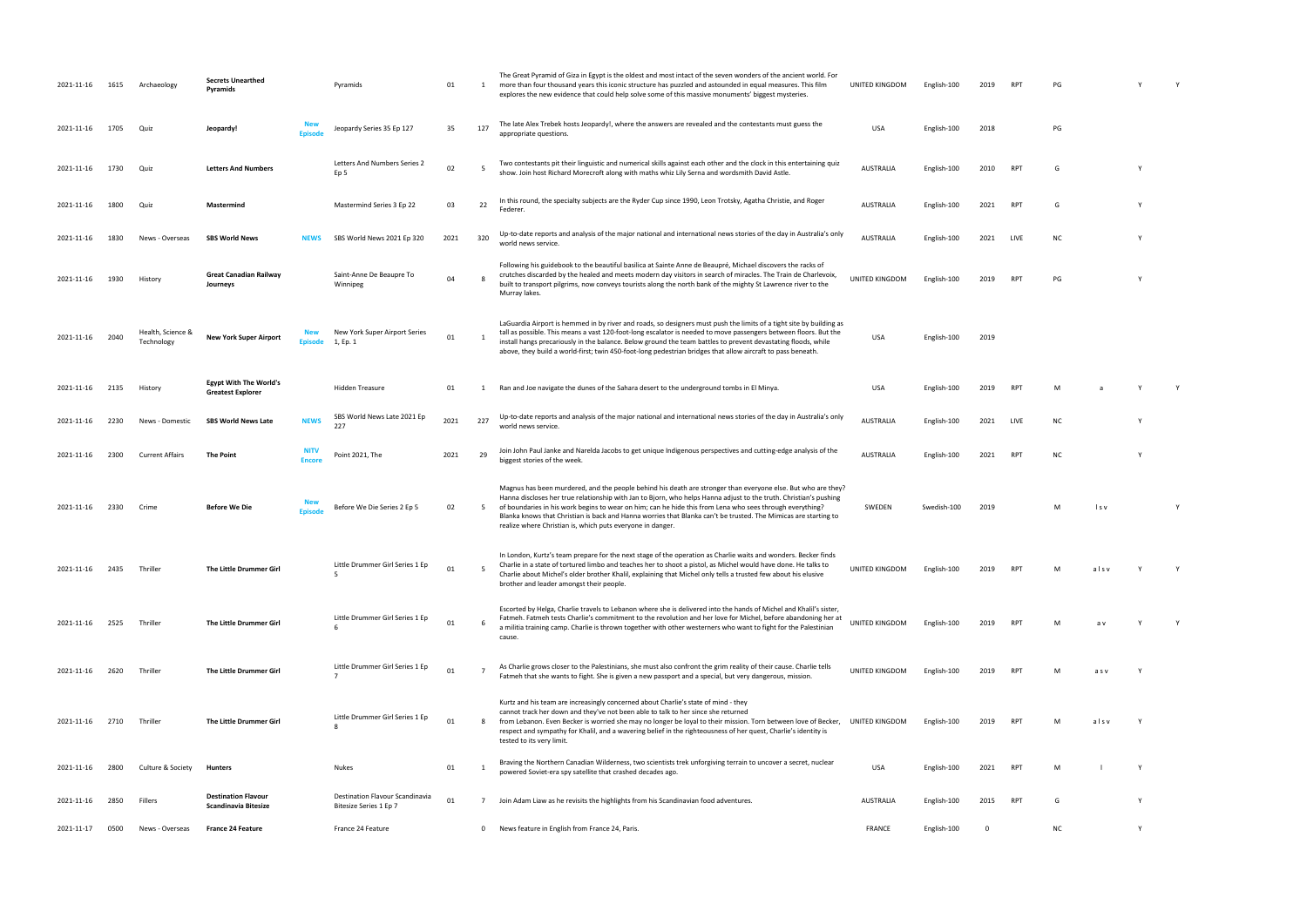| 2021-11-16 | 1615 | Archaeology                     | <b>Secrets Unearthed</b><br>Pyramids                      |                              | Pyramids                                                  | 01   | 1            | The Great Pyramid of Giza in Egypt is the oldest and most intact of the seven wonders of the ancient world. For<br>more than four thousand years this iconic structure has puzzled and astounded in equal measures. This film<br>explores the new evidence that could help solve some of this massive monuments' biggest mysteries.                                                                                                                                                                                            | UNITED KINGDOM   | English-100 | 2019 | RPT        | PG        |       |              |  |
|------------|------|---------------------------------|-----------------------------------------------------------|------------------------------|-----------------------------------------------------------|------|--------------|--------------------------------------------------------------------------------------------------------------------------------------------------------------------------------------------------------------------------------------------------------------------------------------------------------------------------------------------------------------------------------------------------------------------------------------------------------------------------------------------------------------------------------|------------------|-------------|------|------------|-----------|-------|--------------|--|
| 2021-11-16 | 1705 | Quiz                            | Jeopardy!                                                 | <b>New</b><br><b>Episode</b> | Jeopardy Series 35 Ep 127                                 | 35   | 127          | The late Alex Trebek hosts Jeopardy!, where the answers are revealed and the contestants must guess the<br>appropriate questions.                                                                                                                                                                                                                                                                                                                                                                                              | <b>USA</b>       | English-100 | 2018 |            | PG        |       |              |  |
| 2021-11-16 | 1730 | Quiz                            | <b>Letters And Numbers</b>                                |                              | Letters And Numbers Series 2<br>Ep 5                      | 02   | -5           | Two contestants pit their linguistic and numerical skills against each other and the clock in this entertaining quiz<br>show. Join host Richard Morecroft along with maths whiz Lily Serna and wordsmith David Astle.                                                                                                                                                                                                                                                                                                          | AUSTRALIA        | English-100 | 2010 | <b>RPT</b> |           |       | Y            |  |
| 2021-11-16 | 1800 | Quiz                            | Mastermind                                                |                              | Mastermind Series 3 Ep 22                                 | 03   | 22           | In this round, the specialty subjects are the Ryder Cup since 1990, Leon Trotsky, Agatha Christie, and Roger<br>Federer.                                                                                                                                                                                                                                                                                                                                                                                                       | <b>AUSTRALIA</b> | English-100 | 2021 | <b>RPT</b> |           |       | Y            |  |
| 2021-11-16 | 1830 | News - Overseas                 | <b>SBS World News</b>                                     | <b>NEWS</b>                  | SBS World News 2021 Ep 320                                | 2021 | 320          | Up-to-date reports and analysis of the major national and international news stories of the day in Australia's only<br>world news service.                                                                                                                                                                                                                                                                                                                                                                                     | AUSTRALIA        | English-100 | 2021 | LIVE       | ΝC        |       | Y            |  |
| 2021-11-16 | 1930 | History                         | <b>Great Canadian Railway</b><br>Journeys                 |                              | Saint-Anne De Beaupre To<br>Winnipeg                      | 04   | $\mathbf{R}$ | Following his guidebook to the beautiful basilica at Sainte Anne de Beaupré, Michael discovers the racks of<br>crutches discarded by the healed and meets modern day visitors in search of miracles. The Train de Charlevoix,<br>built to transport pilgrims, now conveys tourists along the north bank of the mighty St Lawrence river to the<br>Murray lakes.                                                                                                                                                                | UNITED KINGDOM   | English-100 | 2019 | <b>RPT</b> | PG        |       | $\mathsf{v}$ |  |
| 2021-11-16 | 2040 | Health, Science &<br>Technology | <b>New York Super Airport</b>                             | New<br><b>Episode</b>        | New York Super Airport Series<br>1, Ep. 1                 | 01   | -1           | LaGuardia Airport is hemmed in by river and roads, so designers must push the limits of a tight site by building as<br>tall as possible. This means a vast 120-foot-long escalator is needed to move passengers between floors. But the<br>install hangs precariously in the balance. Below ground the team battles to prevent devastating floods, while<br>above, they build a world-first; twin 450-foot-long pedestrian bridges that allow aircraft to pass beneath.                                                        | <b>USA</b>       | English-100 | 2019 |            |           |       |              |  |
| 2021-11-16 | 2135 | History                         | <b>Egypt With The World's</b><br><b>Greatest Explorer</b> |                              | Hidden Treasure                                           | 01   |              | Ran and Joe navigate the dunes of the Sahara desert to the underground tombs in El Minya.                                                                                                                                                                                                                                                                                                                                                                                                                                      | <b>USA</b>       | English-100 | 2019 | <b>RPT</b> | M         |       |              |  |
| 2021-11-16 | 2230 | News - Domestic                 | <b>SBS World News Late</b>                                | <b>NEWS</b>                  | SBS World News Late 2021 Ep<br>227                        | 2021 | 227          | Up-to-date reports and analysis of the major national and international news stories of the day in Australia's only<br>world news service.                                                                                                                                                                                                                                                                                                                                                                                     | <b>AUSTRALIA</b> | English-100 | 2021 | LIVE       | ΝC        |       | Y            |  |
| 2021-11-16 | 2300 | <b>Current Affairs</b>          | The Point                                                 | <b>NITV</b><br><b>Encore</b> | Point 2021, The                                           | 2021 | 29           | Join John Paul Janke and Narelda Jacobs to get unique Indigenous perspectives and cutting-edge analysis of the<br>biggest stories of the week.                                                                                                                                                                                                                                                                                                                                                                                 | <b>AUSTRALIA</b> | English-100 | 2021 | RPT        | <b>NC</b> |       | $\mathsf{Y}$ |  |
| 2021-11-16 | 2330 | Crime                           | <b>Before We Die</b>                                      | <b>Episode</b>               | Before We Die Series 2 Ep 5                               | 02   | - 5          | Magnus has been murdered, and the people behind his death are stronger than everyone else. But who are they?<br>Hanna discloses her true relationship with Jan to Bjorn, who helps Hanna adjust to the truth. Christian's pushing<br>of boundaries in his work begins to wear on him; can he hide this from Lena who sees through everything?<br>Blanka knows that Christian is back and Hanna worries that Blanka can't be trusted. The Mimicas are starting to<br>realize where Christian is, which puts everyone in danger. | SWEDEN           | Swedish-100 | 2019 |            | M         | l s v |              |  |
| 2021-11-16 | 2435 | Thriller                        | The Little Drummer Girl                                   |                              | Little Drummer Girl Series 1 Ep                           | 01   |              | In London, Kurtz's team prepare for the next stage of the operation as Charlie waits and wonders. Becker finds<br>Charlie in a state of tortured limbo and teaches her to shoot a pistol, as Michel would have done. He talks to<br>Charlie about Michel's older brother Khalil, explaining that Michel only tells a trusted few about his elusive<br>brother and leader amongst their people.                                                                                                                                 | UNITED KINGDOM   | English-100 |      |            |           |       |              |  |
| 2021-11-16 | 2525 | Thriller                        | The Little Drummer Girl                                   |                              | Little Drummer Girl Series 1 Ep                           | 01   | - 6          | Escorted by Helga, Charlie travels to Lebanon where she is delivered into the hands of Michel and Khalil's sister,<br>Fatmeh. Fatmeh tests Charlie's commitment to the revolution and her love for Michel, before abandoning her at<br>a militia training camp. Charlie is thrown together with other westerners who want to fight for the Palestinian<br>cause.                                                                                                                                                               | UNITED KINGDOM   | English-100 | 2019 | <b>RPT</b> |           | a v   |              |  |
| 2021-11-16 | 2620 | Thriller                        | The Little Drummer Girl                                   |                              | Little Drummer Girl Series 1 Ep                           | 01   |              | As Charlie grows closer to the Palestinians, she must also confront the grim reality of their cause. Charlie tells<br>Fatmeh that she wants to fight. She is given a new passport and a special, but very dangerous, mission.                                                                                                                                                                                                                                                                                                  | UNITED KINGDOM   | English-100 | 2019 | <b>RPT</b> | M         | a s v |              |  |
| 2021-11-16 | 2710 | Thriller                        | The Little Drummer Girl                                   |                              | Little Drummer Girl Series 1 Ep                           | 01   | -8           | Kurtz and his team are increasingly concerned about Charlie's state of mind - they<br>cannot track her down and they've not been able to talk to her since she returned<br>from Lebanon. Even Becker is worried she may no longer be loyal to their mission. Torn between love of Becker, UNITED KINGDOM<br>respect and sympathy for Khalil, and a wavering belief in the righteousness of her quest, Charlie's identity is<br>tested to its very limit.                                                                       |                  | English-100 | 2019 | RPT        | M         | alsv  | Y            |  |
| 2021-11-16 | 2800 | Culture & Society               | <b>Hunters</b>                                            |                              | Nukes                                                     | 01   | -1           | Braving the Northern Canadian Wilderness, two scientists trek unforgiving terrain to uncover a secret, nuclear<br>powered Soviet-era spy satellite that crashed decades ago.                                                                                                                                                                                                                                                                                                                                                   | <b>USA</b>       | English-100 | 2021 | <b>RPT</b> |           |       |              |  |
| 2021-11-16 | 2850 | Fillers                         | <b>Destination Flavour</b><br><b>Scandinavia Bitesize</b> |                              | Destination Flavour Scandinavia<br>Bitesize Series 1 Ep 7 | 01   | 7            | Join Adam Liaw as he revisits the highlights from his Scandinavian food adventures.                                                                                                                                                                                                                                                                                                                                                                                                                                            | <b>AUSTRALIA</b> | English-100 | 2015 | RPT        | G         |       | Y            |  |
| 2021-11-17 | 0500 | News - Overseas                 | <b>France 24 Feature</b>                                  |                              | France 24 Feature                                         |      | $\mathbf 0$  | News feature in English from France 24, Paris.                                                                                                                                                                                                                                                                                                                                                                                                                                                                                 | <b>FRANCE</b>    | English-100 | 0    |            | <b>NC</b> |       | Y            |  |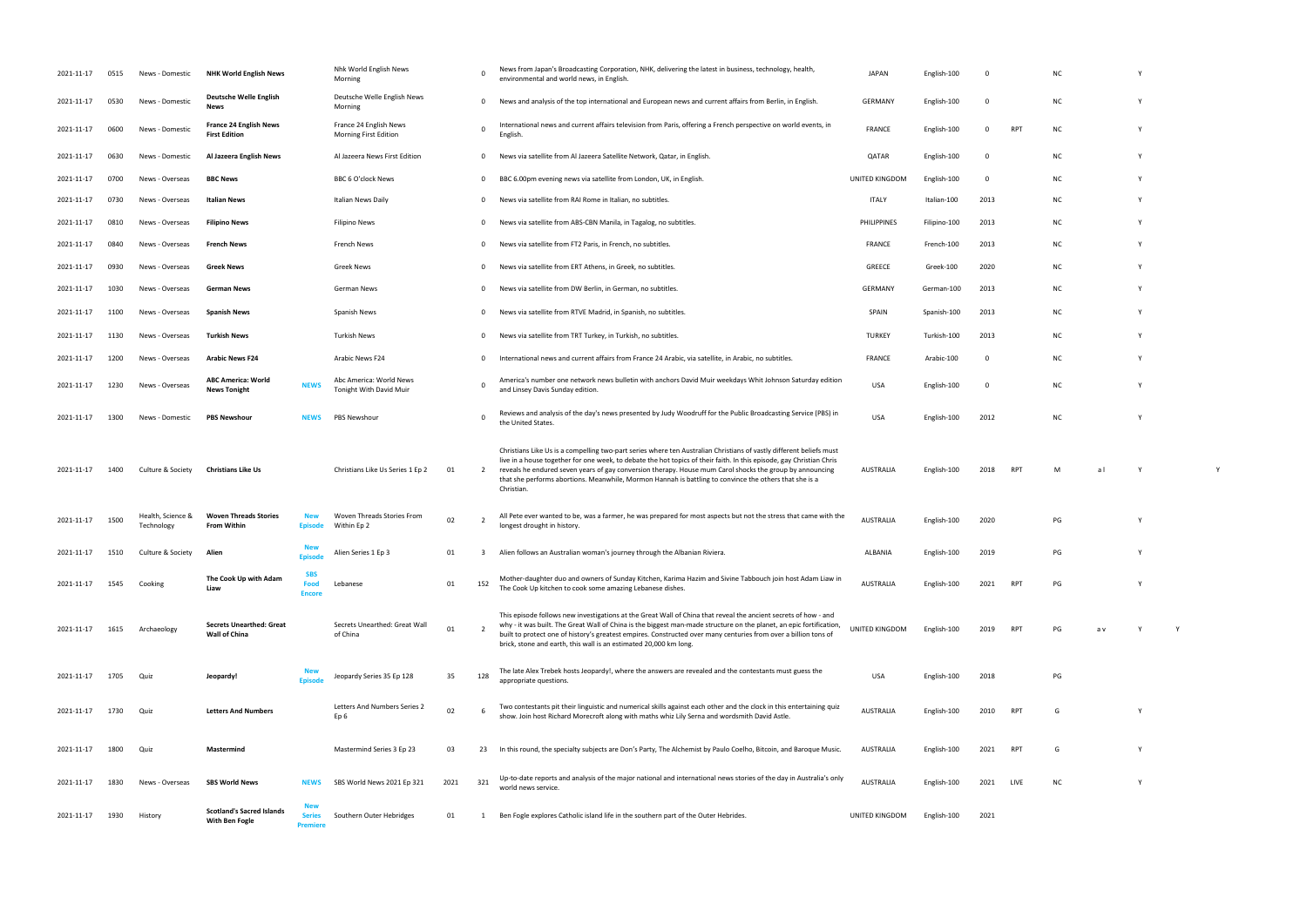| 2021-11-17 | 0515 | News - Domestic                 | <b>NHK World English News</b>                         |                                  | Nhk World English News                             |      | $\Omega$                 | News from Japan's Broadcasting Corporation, NHK, delivering the latest in business, technology, health,                                                                                                                                                                                                                                                                                                                                                                         | <b>JAPAN</b>       | English-100  | - 0         |            | <b>NC</b> | Y        |  |
|------------|------|---------------------------------|-------------------------------------------------------|----------------------------------|----------------------------------------------------|------|--------------------------|---------------------------------------------------------------------------------------------------------------------------------------------------------------------------------------------------------------------------------------------------------------------------------------------------------------------------------------------------------------------------------------------------------------------------------------------------------------------------------|--------------------|--------------|-------------|------------|-----------|----------|--|
|            |      |                                 | <b>Deutsche Welle English</b>                         |                                  | Morning<br>Deutsche Welle English News             |      |                          | environmental and world news, in English.                                                                                                                                                                                                                                                                                                                                                                                                                                       |                    |              |             |            |           |          |  |
| 2021-11-17 | 0530 | News - Domestic                 | <b>News</b>                                           |                                  | Morning                                            |      |                          | 0 News and analysis of the top international and European news and current affairs from Berlin, in English.                                                                                                                                                                                                                                                                                                                                                                     | <b>GERMANY</b>     | English-100  | - 0         |            | NC.       | Y        |  |
| 2021-11-17 | 0600 | News - Domestic                 | <b>France 24 English News</b><br><b>First Edition</b> |                                  | France 24 English News<br>Morning First Edition    |      | $\mathbf 0$              | International news and current affairs television from Paris, offering a French perspective on world events, in<br>Engli                                                                                                                                                                                                                                                                                                                                                        | <b>FRANCE</b>      | English-100  | $\Omega$    | <b>RPT</b> | ΝC        |          |  |
| 2021-11-17 | 0630 | News - Domestic                 | Al Jazeera English News                               |                                  | Al Jazeera News First Edition                      |      | $\mathbf{0}$             | News via satellite from Al Jazeera Satellite Network, Qatar, in English.                                                                                                                                                                                                                                                                                                                                                                                                        | QATAR              | English-100  | - 0         |            | ΝC        | Y        |  |
| 2021-11-17 | 0700 | News - Overseas                 | <b>BBC News</b>                                       |                                  | BBC 6 O'clock News                                 |      |                          | 0 BBC 6.00pm evening news via satellite from London, UK, in English.                                                                                                                                                                                                                                                                                                                                                                                                            | UNITED KINGDOM     | English-100  | $\mathbf 0$ |            | <b>NC</b> |          |  |
| 2021-11-17 | 0730 | News - Overseas                 | <b>Italian News</b>                                   |                                  | Italian News Daily                                 |      | $\mathbf{0}$             | News via satellite from RAI Rome in Italian, no subtitles.                                                                                                                                                                                                                                                                                                                                                                                                                      | <b>ITALY</b>       | Italian-100  | 2013        |            | NC.       |          |  |
| 2021-11-17 | 0810 | News - Overseas                 | <b>Filipino News</b>                                  |                                  | Filipino News                                      |      | $\mathbf{0}$             | News via satellite from ABS-CBN Manila, in Tagalog, no subtitles.                                                                                                                                                                                                                                                                                                                                                                                                               | <b>PHILIPPINES</b> | Filipino-100 | 2013        |            | NC.       |          |  |
| 2021-11-17 | 0840 | News - Overseas                 | <b>French News</b>                                    |                                  | French News                                        |      | $\mathbf{0}$             | News via satellite from FT2 Paris, in French, no subtitles.                                                                                                                                                                                                                                                                                                                                                                                                                     | <b>FRANCE</b>      | French-100   | 2013        |            | NC.       | <b>Y</b> |  |
| 2021-11-17 | 0930 | News - Overseas                 | <b>Greek News</b>                                     |                                  | Greek News                                         |      | $\mathbf{0}$             | News via satellite from ERT Athens, in Greek, no subtitles.                                                                                                                                                                                                                                                                                                                                                                                                                     | GREECE             | Greek-100    | 2020        |            | NC.       |          |  |
| 2021-11-17 | 1030 | News - Overseas                 | <b>German News</b>                                    |                                  | German News                                        |      | $\mathbf{0}$             | News via satellite from DW Berlin, in German, no subtitles.                                                                                                                                                                                                                                                                                                                                                                                                                     | GERMANY            | German-100   | 2013        |            | NC.       | Y        |  |
| 2021-11-17 | 1100 | News - Overseas                 | <b>Spanish News</b>                                   |                                  | Spanish News                                       |      | $\mathbf{0}$             | News via satellite from RTVE Madrid, in Spanish, no subtitles.                                                                                                                                                                                                                                                                                                                                                                                                                  | SPAIN              | Spanish-100  | 2013        |            | NC.       | Y        |  |
| 2021-11-17 | 1130 | News - Overseas                 | <b>Turkish News</b>                                   |                                  | Turkish News                                       |      | $\mathbf{0}$             | News via satellite from TRT Turkey, in Turkish, no subtitles.                                                                                                                                                                                                                                                                                                                                                                                                                   | <b>TURKEY</b>      | Turkish-100  | 2013        |            | NC.       | <b>V</b> |  |
| 2021-11-17 | 1200 | News - Overseas                 | <b>Arabic News F24</b>                                |                                  | Arabic News F24                                    |      | $\mathbf{0}$             | International news and current affairs from France 24 Arabic, via satellite, in Arabic, no subtitles.                                                                                                                                                                                                                                                                                                                                                                           | <b>FRANCE</b>      | Arabic-100   | $\mathbf 0$ |            | NC.       | Y        |  |
| 2021-11-17 | 1230 | News - Overseas                 | <b>ABC America: World</b><br><b>News Tonight</b>      | <b>NEWS</b>                      | Abc America: World News<br>Tonight With David Muir |      | $\Omega$                 | America's number one network news bulletin with anchors David Muir weekdays Whit Johnson Saturday edition<br>and Linsey Davis Sunday edition.                                                                                                                                                                                                                                                                                                                                   | USA                | English-100  | $\Omega$    |            | <b>NC</b> | Y        |  |
| 2021-11-17 | 1300 | News - Domestic                 | <b>PBS Newshour</b>                                   | <b>NEWS</b>                      | <b>PBS Newshour</b>                                |      | $\Omega$                 | Reviews and analysis of the day's news presented by Judy Woodruff for the Public Broadcasting Service (PBS) in<br>the United States.                                                                                                                                                                                                                                                                                                                                            | USA                | English-100  | 2012        |            | NC.       | <b>V</b> |  |
| 2021-11-17 | 1400 | Culture & Society               | <b>Christians Like Us</b>                             |                                  | Christians Like Us Series 1 Ep 2                   | 01   | $\overline{2}$           | Christians Like Us is a compelling two-part series where ten Australian Christians of vastly different beliefs must<br>live in a house together for one week, to debate the hot topics of their faith. In this episode, gay Christian Chris<br>reveals he endured seven years of gay conversion therapy. House mum Carol shocks the group by announcing<br>that she performs abortions. Meanwhile, Mormon Hannah is battling to convince the others that she is a<br>Christian. | <b>AUSTRALIA</b>   | English-100  | 2018        | <b>RPT</b> | м         |          |  |
| 2021-11-17 | 1500 | Health, Science &<br>Technology | <b>Woven Threads Stories</b><br>From Within           |                                  | Woven Threads Stories From<br>Within Ep 2          | 02   | $\overline{2}$           | All Pete ever wanted to be, was a farmer, he was prepared for most aspects but not the stress that came with the<br>longest drought in history.                                                                                                                                                                                                                                                                                                                                 | <b>AUSTRALIA</b>   | English-100  | 2020        |            | PG        | Y        |  |
| 2021-11-17 | 1510 | Culture & Society               | Alien                                                 |                                  | Alien Series 1 Ep 3                                | 01   | 3                        | Alien follows an Australian woman's journey through the Albanian Riviera.                                                                                                                                                                                                                                                                                                                                                                                                       | ALBANIA            | English-100  | 2019        |            | PG        |          |  |
| 2021-11-17 | 1545 | Cooking                         | The Cook Up with Adam<br>Liaw                         | SBS<br>Food<br><b>Encore</b>     | Lebanese                                           | 01   | 152                      | Mother-daughter duo and owners of Sunday Kitchen, Karima Hazim and Sivine Tabbouch join host Adam Liaw in<br>The Cook Up kitchen to cook some amazing Lebanese dishes.                                                                                                                                                                                                                                                                                                          | <b>AUSTRALIA</b>   | English-100  | 2021        | <b>RPT</b> | PG        |          |  |
| 2021-11-17 | 1615 | Archaeology                     | <b>Secrets Unearthed: Great</b><br>Wall of China      |                                  | Secrets Unearthed: Great Wall<br>of China          | 01   | $\overline{\phantom{0}}$ | This episode follows new investigations at the Great Wall of China that reveal the ancient secrets of how - and<br>why - it was built. The Great Wall of China is the biggest man-made structure on the planet, an epic fortification,<br>built to protect one of history's greatest empires. Constructed over many centuries from over a billion tons of<br>brick, stone and earth, this wall is an estimated 20,000 km long.                                                  | UNITED KINGDOM     | English-100  | 2019        | <b>RPT</b> | PG        |          |  |
| 2021-11-17 | 1705 | Quiz                            | Jeopardy!                                             |                                  | Jeopardy Series 35 Ep 128                          | 35   | 128                      | The late Alex Trebek hosts Jeopardy!, where the answers are revealed and the contestants must guess the<br>appropriate questions.                                                                                                                                                                                                                                                                                                                                               | USA                | English-100  | 2018        |            | PG        |          |  |
| 2021-11-17 | 1730 | Quiz                            | <b>Letters And Numbers</b>                            |                                  | Letters And Numbers Series 2<br>Ep 6               | 02   | -6                       | Two contestants pit their linguistic and numerical skills against each other and the clock in this entertaining quiz<br>show. Join host Richard Morecroft along with maths whiz Lily Serna and wordsmith David Astle.                                                                                                                                                                                                                                                           | <b>AUSTRALIA</b>   | English-100  | 2010        | RPT        | G         | Y        |  |
| 2021-11-17 | 1800 | Quiz                            | Mastermind                                            |                                  | Mastermind Series 3 Ep 23                          | 03   | 23                       | In this round, the specialty subjects are Don's Party, The Alchemist by Paulo Coelho, Bitcoin, and Baroque Music.                                                                                                                                                                                                                                                                                                                                                               | AUSTRALIA          | English-100  | 2021        | RPT        | G         | Y        |  |
| 2021-11-17 | 1830 | News - Overseas                 | <b>SBS World News</b>                                 | <b>NEWS</b>                      | SBS World News 2021 Ep 321                         | 2021 | 321                      | Up-to-date reports and analysis of the major national and international news stories of the day in Australia's only<br>world news service.                                                                                                                                                                                                                                                                                                                                      | <b>AUSTRALIA</b>   | English-100  | 2021        | LIVE       | NC.       |          |  |
| 2021-11-17 | 1930 | History                         | <b>Scotland's Sacred Islands</b><br>With Ben Fogle    | New<br><b>Series</b><br>Premiere | Southern Outer Hebridges                           | 01   |                          | Ben Fogle explores Catholic island life in the southern part of the Outer Hebrides.                                                                                                                                                                                                                                                                                                                                                                                             | UNITED KINGDOM     | English-100  | 2021        |            |           |          |  |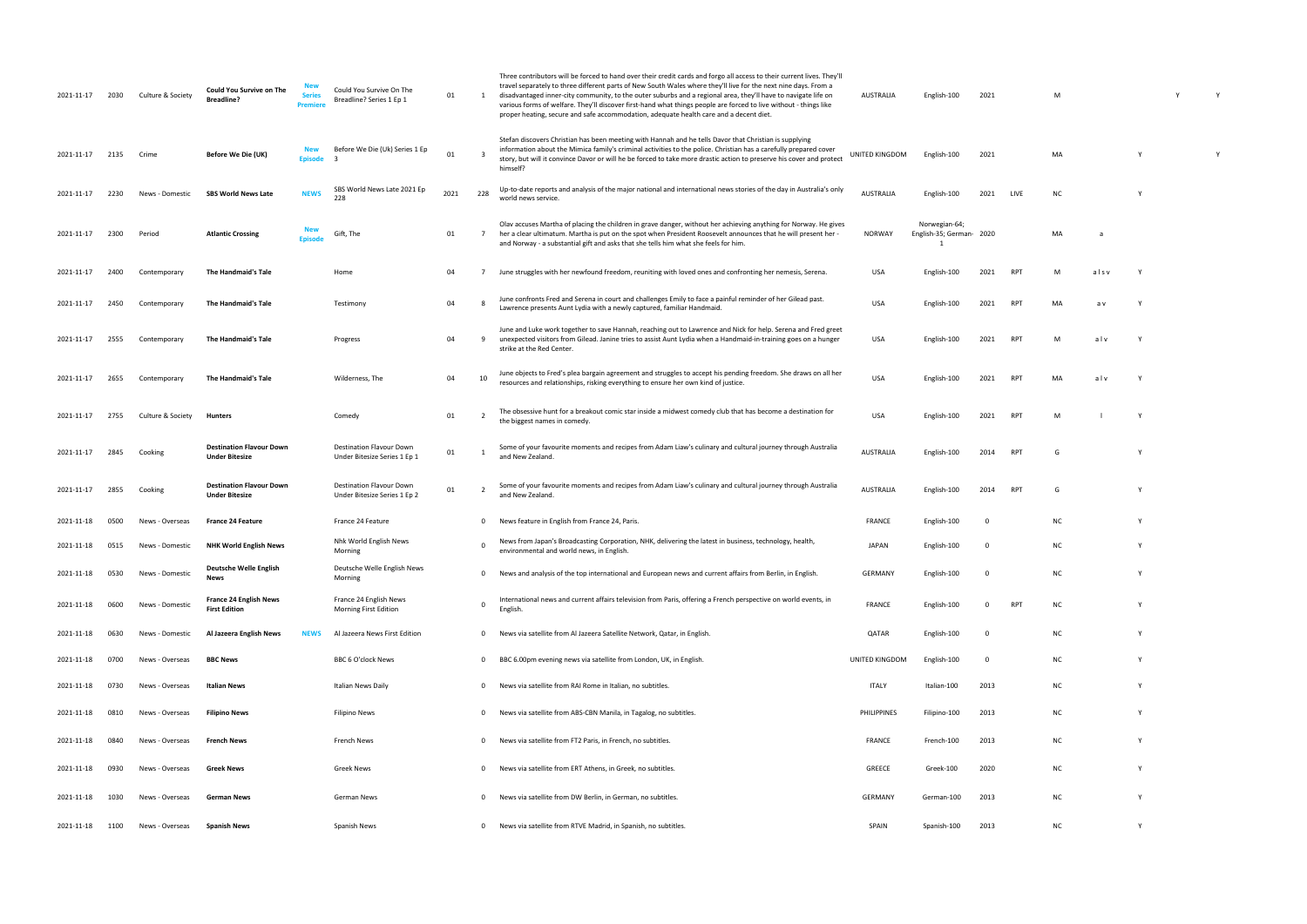| 2021-11-17 | 2030 | Culture & Society | Could You Survive on The<br><b>Breadline?</b>            | <b>Series</b><br><b>Premiere</b> | Could You Survive On The<br>Breadline? Series 1 Ep 1     | 01   | -1              | Three contributors will be forced to hand over their credit cards and forgo all access to their current lives. They'll<br>travel separately to three different parts of New South Wales where they'll live for the next nine days. From a<br>disadvantaged inner-city community, to the outer suburbs and a regional area, they'll have to navigate life on<br>various forms of welfare. They'll discover first-hand what things people are forced to live without - things like<br>proper heating, secure and safe accommodation, adequate health care and a decent diet. | <b>AUSTRALIA</b> | English-100                               | 2021     |                 | M         |      |              |  |
|------------|------|-------------------|----------------------------------------------------------|----------------------------------|----------------------------------------------------------|------|-----------------|----------------------------------------------------------------------------------------------------------------------------------------------------------------------------------------------------------------------------------------------------------------------------------------------------------------------------------------------------------------------------------------------------------------------------------------------------------------------------------------------------------------------------------------------------------------------------|------------------|-------------------------------------------|----------|-----------------|-----------|------|--------------|--|
| 2021-11-17 | 2135 | Crime             | Before We Die (UK)                                       | <b>New</b><br><b>Episode</b>     | Before We Die (Uk) Series 1 Ep<br>- 3                    | 01   | $\mathbf{a}$    | Stefan discovers Christian has been meeting with Hannah and he tells Davor that Christian is supplying<br>information about the Mimica family's criminal activities to the police. Christian has a carefully prepared cover<br>story, but will it convince Davor or will he be forced to take more drastic action to preserve his cover and protect<br>himself?                                                                                                                                                                                                            | UNITED KINGDOM   | English-100                               | 2021     |                 | MA        |      | Y            |  |
| 2021-11-17 | 2230 | News - Domestic   | <b>SBS World News Late</b>                               | <b>NEWS</b>                      | SBS World News Late 2021 Ep<br>228                       | 2021 | 228             | Up-to-date reports and analysis of the major national and international news stories of the day in Australia's only<br>world news service.                                                                                                                                                                                                                                                                                                                                                                                                                                 | <b>AUSTRALIA</b> | English-100                               | 2021     | LIVE            | <b>NC</b> |      |              |  |
| 2021-11-17 | 2300 | Period            | <b>Atlantic Crossing</b>                                 | <b>Episode</b>                   | Gift, The                                                | 01   | $7\overline{ }$ | Olav accuses Martha of placing the children in grave danger, without her achieving anything for Norway. He gives<br>her a clear ultimatum. Martha is put on the spot when President Roosevelt announces that he will present her -<br>and Norway - a substantial gift and asks that she tells him what she feels for him.                                                                                                                                                                                                                                                  | <b>NORWAY</b>    | Norwegian-64;<br>English-35; German- 2020 |          |                 | MA        | a    |              |  |
| 2021-11-17 | 2400 | Contemporary      | The Handmaid's Tale                                      |                                  | Home                                                     | 04   |                 | June struggles with her newfound freedom, reuniting with loved ones and confronting her nemesis, Serena.                                                                                                                                                                                                                                                                                                                                                                                                                                                                   | USA              | English-100                               | 2021     | RPT             | M         | alsv | Y            |  |
| 2021-11-17 | 2450 | Contemporary      | The Handmaid's Tale                                      |                                  | Testimony                                                | 04   | -8              | June confronts Fred and Serena in court and challenges Emily to face a painful reminder of her Gilead past.<br>Lawrence presents Aunt Lydia with a newly captured, familiar Handmaid.                                                                                                                                                                                                                                                                                                                                                                                      | <b>USA</b>       | English-100                               | 2021     | <b>RPT</b>      | MA        | a v  | Y            |  |
| 2021-11-17 | 2555 | Contemporary      | The Handmaid's Tale                                      |                                  | Progress                                                 | 04   | 9               | June and Luke work together to save Hannah, reaching out to Lawrence and Nick for help. Serena and Fred greet<br>unexpected visitors from Gilead. Janine tries to assist Aunt Lydia when a Handmaid-in-training goes on a hunger<br>strike at the Red Center.                                                                                                                                                                                                                                                                                                              | USA              | English-100                               | 2021     | <b>RPT</b>      | M         | alv  | Y            |  |
| 2021-11-17 | 2655 | Contemporary      | The Handmaid's Tale                                      |                                  | Wilderness, The                                          | 04   | 10              | June objects to Fred's plea bargain agreement and struggles to accept his pending freedom. She draws on all her<br>resources and relationships, risking everything to ensure her own kind of justice.                                                                                                                                                                                                                                                                                                                                                                      | <b>USA</b>       | English-100                               | 2021     | <b>RPT</b>      | MA        | alv  | Y            |  |
| 2021-11-17 | 2755 | Culture & Society | Hunters                                                  |                                  | Comedy                                                   | 01   | $\overline{2}$  | The obsessive hunt for a breakout comic star inside a midwest comedy club that has become a destination for<br>the biggest names in comedy.                                                                                                                                                                                                                                                                                                                                                                                                                                | <b>USA</b>       | English-100                               | 2021     | <b>RPT</b>      | M         |      | - Y          |  |
| 2021-11-17 | 2845 | Cooking           | <b>Destination Flavour Down</b><br><b>Under Bitesize</b> |                                  | Destination Flavour Down<br>Under Bitesize Series 1 Ep 1 | 01   |                 | Some of your favourite moments and recipes from Adam Liaw's culinary and cultural journey through Australia<br>and New Zealand.                                                                                                                                                                                                                                                                                                                                                                                                                                            | <b>AUSTRALIA</b> | English-100                               | 2014     | RPT             | G         |      | $\mathsf{v}$ |  |
| 2021-11-17 | 2855 | Cooking           | <b>Destination Flavour Down</b><br><b>Under Bitesize</b> |                                  | Destination Flavour Down<br>Under Bitesize Series 1 Ep 2 | 01   |                 | Some of your favourite moments and recipes from Adam Liaw's culinary and cultural journey through Australia<br>and New Zealand.                                                                                                                                                                                                                                                                                                                                                                                                                                            | <b>AUSTRALIA</b> | English-100                               | 2014     | RP <sup>-</sup> | G         |      |              |  |
| 2021-11-18 | 0500 | News - Overseas   | <b>France 24 Feature</b>                                 |                                  | France 24 Feature                                        |      | $^{\circ}$      | News feature in English from France 24, Paris.                                                                                                                                                                                                                                                                                                                                                                                                                                                                                                                             | <b>FRANCE</b>    | English-100                               | 0        |                 | <b>NC</b> |      | - Y          |  |
| 2021-11-18 | 0515 | News - Domestic   | <b>NHK World English News</b>                            |                                  | Nhk World English News<br>Morning                        |      | $\Omega$        | News from Japan's Broadcasting Corporation, NHK, delivering the latest in business, technology, health,<br>environmental and world news, in English.                                                                                                                                                                                                                                                                                                                                                                                                                       | <b>JAPAN</b>     | English-100                               | $\Omega$ |                 | <b>NC</b> |      | $\mathsf{v}$ |  |
| 2021-11-18 | 0530 | News - Domestic   | <b>Deutsche Welle English</b><br>News                    |                                  | Deutsche Welle English News<br>Morning                   |      | 0               | News and analysis of the top international and European news and current affairs from Berlin, in English.                                                                                                                                                                                                                                                                                                                                                                                                                                                                  | <b>GERMANY</b>   | English-100                               | 0        |                 | NC        |      |              |  |
| 2021-11-18 | 0600 | News - Domestic   | France 24 English News<br><b>First Edition</b>           |                                  | France 24 English News<br>Morning First Edition          |      | $\Omega$        | International news and current affairs television from Paris, offering a French perspective on world events, in<br>English.                                                                                                                                                                                                                                                                                                                                                                                                                                                | <b>FRANCE</b>    | English-100                               | 0        | RPT             | <b>NC</b> |      | Y            |  |
| 2021-11-18 | 0630 | News - Domestic   | Al Jazeera English News                                  | <b>NEWS</b>                      | Al Jazeera News First Edition                            |      | $\mathbf{0}$    | News via satellite from Al Jazeera Satellite Network, Qatar, in English.                                                                                                                                                                                                                                                                                                                                                                                                                                                                                                   | QATAR            | English-100                               | 0        |                 | <b>NC</b> |      | Y            |  |
| 2021-11-18 | 0700 | News - Overseas   | <b>BBC News</b>                                          |                                  | <b>BBC 6 O'clock News</b>                                |      | $\mathbf 0$     | BBC 6.00pm evening news via satellite from London, UK, in English.                                                                                                                                                                                                                                                                                                                                                                                                                                                                                                         | UNITED KINGDOM   | English-100                               | 0        |                 | <b>NC</b> |      | Y            |  |
| 2021-11-18 | 0730 | News - Overseas   | Italian News                                             |                                  | Italian News Daily                                       |      | $\mathbf{0}$    | News via satellite from RAI Rome in Italian, no subtitles.                                                                                                                                                                                                                                                                                                                                                                                                                                                                                                                 | <b>ITALY</b>     | Italian-100                               | 2013     |                 | <b>NC</b> |      | Y            |  |
| 2021-11-18 | 0810 | News - Overseas   | <b>Filipino News</b>                                     |                                  | Filipino News                                            |      | $\mathbf 0$     | News via satellite from ABS-CBN Manila, in Tagalog, no subtitles.                                                                                                                                                                                                                                                                                                                                                                                                                                                                                                          | PHILIPPINES      | Filipino-100                              | 2013     |                 | <b>NC</b> |      | <sup>Y</sup> |  |
| 2021-11-18 | 0840 | News - Overseas   | <b>French News</b>                                       |                                  | French News                                              |      | $^{\circ}$      | News via satellite from FT2 Paris, in French, no subtitles.                                                                                                                                                                                                                                                                                                                                                                                                                                                                                                                | <b>FRANCE</b>    | French-100                                | 2013     |                 | <b>NC</b> |      | Y            |  |
| 2021-11-18 | 0930 | News - Overseas   | Greek News                                               |                                  | <b>Greek News</b>                                        |      | $\mathbf{0}$    | News via satellite from ERT Athens, in Greek, no subtitles.                                                                                                                                                                                                                                                                                                                                                                                                                                                                                                                | GREECE           | Greek-100                                 | 2020     |                 | <b>NC</b> |      | Y            |  |
| 2021-11-18 | 1030 | News - Overseas   | German News                                              |                                  | German News                                              |      | $\Omega$        | News via satellite from DW Berlin, in German, no subtitles.                                                                                                                                                                                                                                                                                                                                                                                                                                                                                                                | GERMANY          | German-100                                | 2013     |                 | ΝC        |      | Y            |  |
| 2021-11-18 | 1100 | News - Overseas   | <b>Spanish News</b>                                      |                                  | Spanish News                                             |      | $\mathbf 0$     | News via satellite from RTVE Madrid, in Spanish, no subtitles.                                                                                                                                                                                                                                                                                                                                                                                                                                                                                                             | SPAIN            | Spanish-100                               | 2013     |                 | NC.       |      | Y            |  |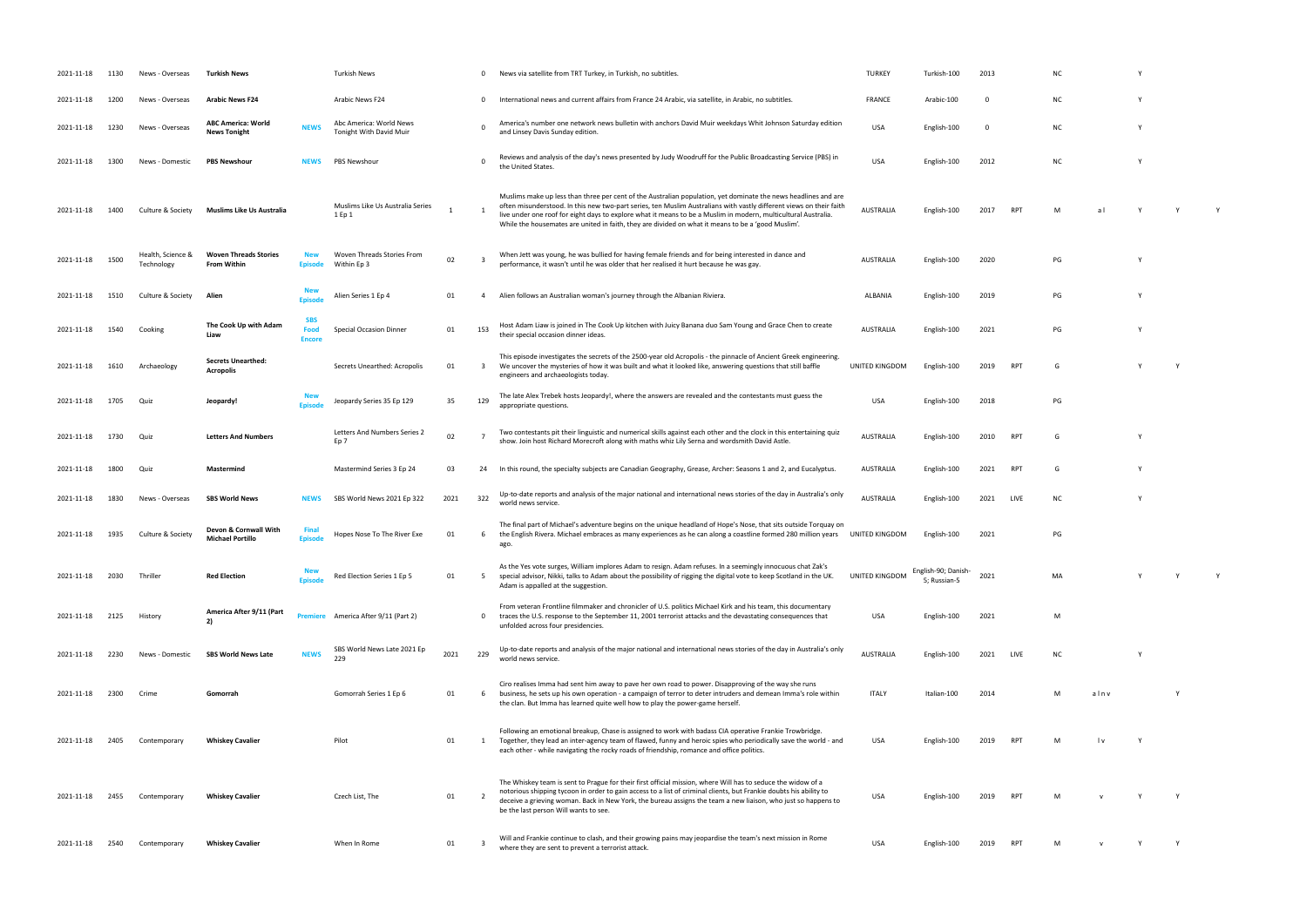| 2021-11-18 | 1130  | News - Overseas                 | Turkish News                                     |                                     | <b>Turkish News</b>                                |      | $\mathbf{0}$   | News via satellite from TRT Turkey, in Turkish, no subtitles.                                                                                                                                                                                                                                                                                                                                                                                                 | <b>TURKEY</b>    | Turkish-100                         | 2013 |            | N0        |              |   |  |
|------------|-------|---------------------------------|--------------------------------------------------|-------------------------------------|----------------------------------------------------|------|----------------|---------------------------------------------------------------------------------------------------------------------------------------------------------------------------------------------------------------------------------------------------------------------------------------------------------------------------------------------------------------------------------------------------------------------------------------------------------------|------------------|-------------------------------------|------|------------|-----------|--------------|---|--|
| 2021-11-18 | 1200  | News - Overseas                 | <b>Arabic News F24</b>                           |                                     | <b>Arabic News F24</b>                             |      | $\mathbf{0}$   | International news and current affairs from France 24 Arabic, via satellite, in Arabic, no subtitles.                                                                                                                                                                                                                                                                                                                                                         | <b>FRANCE</b>    | Arabic-100                          | - 0  |            | <b>NC</b> |              |   |  |
| 2021-11-18 | 1230  | News - Overseas                 | <b>ABC America: World</b><br><b>News Tonight</b> | <b>NEWS</b>                         | Abc America: World News<br>Tonight With David Muir |      | $\Omega$       | America's number one network news bulletin with anchors David Muir weekdays Whit Johnson Saturday edition<br>and Linsey Davis Sunday edition.                                                                                                                                                                                                                                                                                                                 | <b>USA</b>       | English-100                         | - 0  |            | <b>NC</b> |              |   |  |
| 2021-11-18 | 1300  | News - Domestic                 | <b>PBS Newshour</b>                              | <b>NEWS</b>                         | PBS Newshour                                       |      | $\Omega$       | Reviews and analysis of the day's news presented by Judy Woodruff for the Public Broadcasting Service (PBS) in<br>the United States.                                                                                                                                                                                                                                                                                                                          | <b>USA</b>       | English-100                         | 2012 |            | <b>NC</b> |              |   |  |
| 2021-11-18 | 1400  | Culture & Society               | Muslims Like Us Australia                        |                                     | Muslims Like Us Australia Series<br>1 Ep 1         |      |                | Muslims make up less than three per cent of the Australian population, yet dominate the news headlines and are<br>often misunderstood. In this new two-part series, ten Muslim Australians with vastly different views on their faith<br>live under one roof for eight days to explore what it means to be a Muslim in modern, multicultural Australia.<br>While the housemates are united in faith, they are divided on what it means to be a 'good Muslim'. | <b>AUSTRALIA</b> | English-100                         | 2017 | <b>RPT</b> |           | al           |   |  |
| 2021-11-18 | 1500  | Health, Science &<br>Technology | <b>Woven Threads Stories</b><br>From Within      | <b>New</b><br>Episode               | Woven Threads Stories From<br>Within Ep 3          | 02   | - 3            | When Jett was young, he was bullied for having female friends and for being interested in dance and<br>performance, it wasn't until he was older that her realised it hurt because he was gay.                                                                                                                                                                                                                                                                | <b>AUSTRALIA</b> | English-100                         | 2020 |            | PG        |              |   |  |
| 2021-11-18 | 1510  | Culture & Society               | Alien                                            | <b>New</b><br><b>Fnisode</b>        | Alien Series 1 Ep 4                                | 01   |                | Alien follows an Australian woman's journey through the Albanian Riviera.                                                                                                                                                                                                                                                                                                                                                                                     | ALBANIA          | English-100                         | 2019 |            | PG        |              |   |  |
| 2021-11-18 | 1540  | Cooking                         | The Cook Up with Adam<br>Liaw                    | <b>SBS</b><br>Food<br><b>Encore</b> | <b>Special Occasion Dinner</b>                     | 01   | 153            | Host Adam Liaw is joined in The Cook Up kitchen with Juicy Banana duo Sam Young and Grace Chen to create<br>their special occasion dinner ideas.                                                                                                                                                                                                                                                                                                              | <b>AUSTRALIA</b> | English-100                         | 2021 |            | PG        |              |   |  |
| 2021-11-18 | 1610  | Archaeology                     | <b>Secrets Unearthed:</b><br><b>Acropolis</b>    |                                     | Secrets Unearthed: Acropolis                       | 01   | - 3            | This episode investigates the secrets of the 2500-year old Acropolis - the pinnacle of Ancient Greek engineering.<br>We uncover the mysteries of how it was built and what it looked like, answering questions that still baffle<br>engineers and archaeologists today.                                                                                                                                                                                       | UNITED KINGDOM   | English-100                         | 2019 | RPT        | G         |              |   |  |
| 2021-11-18 | 1705  | Quiz                            | Jeopardy!                                        | <b>Fnisod</b>                       | Jeopardy Series 35 Ep 129                          | 35   | 129            | The late Alex Trebek hosts Jeopardy!, where the answers are revealed and the contestants must guess the<br>appropriate questions.                                                                                                                                                                                                                                                                                                                             | <b>USA</b>       | English-100                         | 2018 |            | PG        |              |   |  |
| 2021-11-18 | 1730  | Quiz                            | <b>Letters And Numbers</b>                       |                                     | Letters And Numbers Series 2<br>Ep <sub>7</sub>    | 02   |                | Two contestants pit their linguistic and numerical skills against each other and the clock in this entertaining quiz<br>show. Join host Richard Morecroft along with maths whiz Lily Serna and wordsmith David Astle.                                                                                                                                                                                                                                         | <b>AUSTRALIA</b> | English-100                         | 2010 | <b>RPT</b> | G         |              |   |  |
| 2021-11-18 | 1800  | Quiz                            | Mastermind                                       |                                     | Mastermind Series 3 Ep 24                          | 03   | 24             | In this round, the specialty subjects are Canadian Geography, Grease, Archer: Seasons 1 and 2, and Eucalyptus.                                                                                                                                                                                                                                                                                                                                                | <b>AUSTRALIA</b> | English-100                         | 2021 | <b>RPT</b> | G         |              |   |  |
| 2021-11-18 | 1830  | News - Overseas                 | <b>SBS World News</b>                            | <b>NEWS</b>                         | SBS World News 2021 Ep 322                         | 2021 | 322            | Up-to-date reports and analysis of the major national and international news stories of the day in Australia's only<br>world news service.                                                                                                                                                                                                                                                                                                                    | <b>AUSTRALIA</b> | English-100                         | 2021 | LIVE       | <b>NC</b> |              |   |  |
| 2021-11-18 | 1935  | Culture & Society               | Devon & Cornwall With<br><b>Michael Portillo</b> | <b>Final</b><br><b>Episode</b>      | Hopes Nose To The River Exe                        | 01   | - 6            | The final part of Michael's adventure begins on the unique headland of Hope's Nose, that sits outside Torquay on<br>the English Rivera. Michael embraces as many experiences as he can along a coastline formed 280 million years<br>ago.                                                                                                                                                                                                                     | UNITED KINGDOM   | English-100                         | 2021 |            | PG        |              |   |  |
| 2021-11-18 | -2030 | Thriller                        | <b>Red Election</b>                              |                                     | Red Election Series 1 Ep 5                         | 01   | 5              | As the Yes vote surges, William implores Adam to resign. Adam refuses. In a seemingly innocuous chat Zak's<br>special advisor, Nikki, talks to Adam about the possibility of rigging the digital vote to keep Scotland in the UK.<br>Adam is appalled at the suggestion.                                                                                                                                                                                      | UNITED KINGDOM   | English-90; Danish-<br>5; Russian-5 | 2021 |            | MA        |              |   |  |
| 2021-11-18 | 2125  | History                         | America After 9/11 (Part<br>기                    |                                     | Premiere America After 9/11 (Part 2)               |      | $\overline{0}$ | From veteran Frontline filmmaker and chronicler of U.S. politics Michael Kirk and his team, this documentary<br>traces the U.S. response to the September 11, 2001 terrorist attacks and the devastating consequences that<br>unfolded across four presidencies.                                                                                                                                                                                              | <b>USA</b>       | English-100                         | 2021 |            | M         |              |   |  |
| 2021-11-18 | 2230  | News - Domestic                 | <b>SBS World News Late</b>                       | <b>NEWS</b>                         | SBS World News Late 2021 Ep<br>229                 | 2021 | 229            | Up-to-date reports and analysis of the major national and international news stories of the day in Australia's only<br>world news service.                                                                                                                                                                                                                                                                                                                    | <b>AUSTRALIA</b> | English-100                         | 2021 | LIVE       | <b>NC</b> |              |   |  |
| 2021-11-18 | 2300  | Crime                           | Gomorrah                                         |                                     | Gomorrah Series 1 Ep 6                             | 01   | -6             | Ciro realises Imma had sent him away to pave her own road to power. Disapproving of the way she runs<br>business, he sets up his own operation - a campaign of terror to deter intruders and demean Imma's role within<br>the clan. But Imma has learned quite well how to play the power-game herself.                                                                                                                                                       | <b>ITALY</b>     | Italian-100                         | 2014 |            | M         | alnv         |   |  |
| 2021-11-18 | 2405  | Contemporary                    | <b>Whiskey Cavalier</b>                          |                                     | Pilot                                              | 01   | 1              | Following an emotional breakup, Chase is assigned to work with badass CIA operative Frankie Trowbridge.<br>Together, they lead an inter-agency team of flawed, funny and heroic spies who periodically save the world - and<br>each other - while navigating the rocky roads of friendship, romance and office politics.                                                                                                                                      | <b>USA</b>       | English-100                         | 2019 | <b>RPT</b> |           | l v          |   |  |
| 2021-11-18 | 2455  | Contemporary                    | <b>Whiskey Cavalier</b>                          |                                     | Czech List, The                                    | 01   | $\overline{2}$ | The Whiskey team is sent to Prague for their first official mission, where Will has to seduce the widow of a<br>notorious shipping tycoon in order to gain access to a list of criminal clients, but Frankie doubts his ability to<br>deceive a grieving woman. Back in New York, the bureau assigns the team a new liaison, who just so happens to<br>be the last person Will wants to see.                                                                  | <b>USA</b>       | English-100                         | 2019 | <b>RPT</b> | M         |              | Y |  |
| 2021-11-18 | 2540  | Contemporary                    | <b>Whiskey Cavalier</b>                          |                                     | When In Rome                                       | 01   |                | Will and Frankie continue to clash, and their growing pains may jeopardise the team's next mission in Rome<br>where they are sent to prevent a terrorist attack.                                                                                                                                                                                                                                                                                              | <b>USA</b>       | English-100                         | 2019 | <b>RPT</b> | M         | $\mathsf{v}$ | Y |  |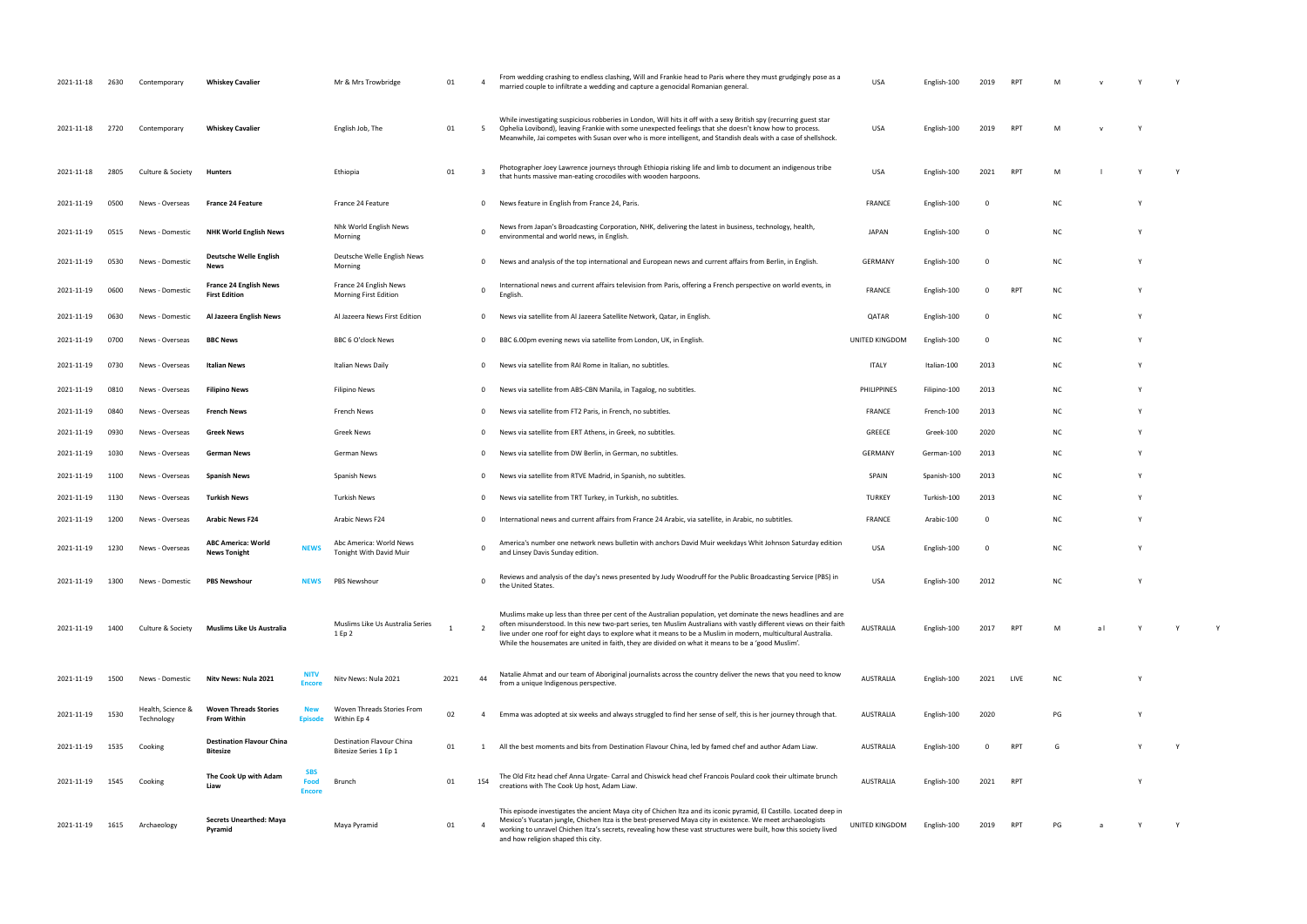| 2021-11-18 | 2630 | Contemporary                    | <b>Whiskey Cavalier</b>                                                     | Mr & Mrs Trowbridge                                 | 01   |                | From wedding crashing to endless clashing, Will and Frankie head to Paris where they must grudgingly pose as a<br>married couple to infiltrate a wedding and capture a genocidal Romanian general.                                                                                                                                                                                                                                                            | <b>USA</b>         | English-100  | 2019        | <b>RP</b>       |           |              |   |  |
|------------|------|---------------------------------|-----------------------------------------------------------------------------|-----------------------------------------------------|------|----------------|---------------------------------------------------------------------------------------------------------------------------------------------------------------------------------------------------------------------------------------------------------------------------------------------------------------------------------------------------------------------------------------------------------------------------------------------------------------|--------------------|--------------|-------------|-----------------|-----------|--------------|---|--|
| 2021-11-18 | 2720 | Contemporary                    | <b>Whiskey Cavalier</b>                                                     | English Job, The                                    | 01   | 5              | While investigating suspicious robberies in London, Will hits it off with a sexy British spy (recurring guest star<br>Ophelia Lovibond), leaving Frankie with some unexpected feelings that she doesn't know how to process.<br>Meanwhile, Jai competes with Susan over who is more intelligent, and Standish deals with a case of shellshock.                                                                                                                | USA                | English-100  | 2019        | <b>RPT</b>      | M         | $\mathsf{v}$ | Y |  |
| 2021-11-18 | 2805 | Culture & Society               | Hunters                                                                     | Ethiopia                                            | 01   | -3             | Photographer Joey Lawrence journeys through Ethiopia risking life and limb to document an indigenous tribe<br>that hunts massive man-eating crocodiles with wooden harpoons.                                                                                                                                                                                                                                                                                  | USA                | English-100  | 2021        | <b>RPT</b>      | M         |              |   |  |
| 2021-11-19 | 0500 | News - Overseas                 | <b>France 24 Feature</b>                                                    | France 24 Feature                                   |      | $\mathbf 0$    | News feature in English from France 24, Paris.                                                                                                                                                                                                                                                                                                                                                                                                                | <b>FRANCE</b>      | English-100  | - 0         |                 | NC        |              |   |  |
| 2021-11-19 | 0515 | News - Domestic                 | <b>NHK World English News</b>                                               | Nhk World English News<br>Morning                   |      | $\mathbf 0$    | News from Japan's Broadcasting Corporation, NHK, delivering the latest in business, technology, health,<br>environmental and world news, in English.                                                                                                                                                                                                                                                                                                          | <b>JAPAN</b>       | English-100  | 0           |                 | NC        |              |   |  |
| 2021-11-19 | 0530 | News - Domestic                 | Deutsche Welle English<br><b>News</b>                                       | Deutsche Welle English News<br>Morning              |      | $^{\circ}$     | News and analysis of the top international and European news and current affairs from Berlin, in English.                                                                                                                                                                                                                                                                                                                                                     | <b>GERMANY</b>     | English-100  | 0           |                 | NC        |              | Y |  |
| 2021-11-19 | 0600 | News - Domestic                 | <b>France 24 English News</b><br><b>First Edition</b>                       | France 24 English News<br>Morning First Edition     |      | $\mathbf 0$    | International news and current affairs television from Paris, offering a French perspective on world events, in<br>English                                                                                                                                                                                                                                                                                                                                    | <b>FRANCE</b>      | English-100  | 0           | <b>RPT</b>      | <b>NC</b> |              |   |  |
| 2021-11-19 | 0630 | News - Domestic                 | Al Jazeera English News                                                     | Al Jazeera News First Edition                       |      | $\mathbf 0$    | News via satellite from Al Jazeera Satellite Network, Qatar, in English.                                                                                                                                                                                                                                                                                                                                                                                      | QATAR              | English-100  | $\mathbf 0$ |                 | NC        |              | Y |  |
| 2021-11-19 | 0700 | News - Overseas                 | <b>BBC News</b>                                                             | <b>BBC 6 O'clock News</b>                           |      | $^{\circ}$     | BBC 6.00pm evening news via satellite from London, UK, in English.                                                                                                                                                                                                                                                                                                                                                                                            | UNITED KINGDOM     | English-100  | $\mathbf 0$ |                 | NC        |              | Y |  |
| 2021-11-19 | 0730 | News - Overseas                 | Italian News                                                                | Italian News Daily                                  |      | $\mathbf 0$    | News via satellite from RAI Rome in Italian, no subtitles.                                                                                                                                                                                                                                                                                                                                                                                                    | <b>ITALY</b>       | Italian-100  | 2013        |                 | NC        |              | Y |  |
| 2021-11-19 | 0810 | News - Overseas                 | <b>Filipino News</b>                                                        | <b>Filipino News</b>                                |      | $\mathbf 0$    | News via satellite from ABS-CBN Manila, in Tagalog, no subtitles.                                                                                                                                                                                                                                                                                                                                                                                             | <b>PHILIPPINES</b> | Filipino-100 | 2013        |                 | NC        |              | Y |  |
| 2021-11-19 | 0840 | News - Overseas                 | <b>French News</b>                                                          | French News                                         |      | $\mathbf 0$    | News via satellite from FT2 Paris, in French, no subtitles.                                                                                                                                                                                                                                                                                                                                                                                                   | <b>FRANCE</b>      | French-100   | 2013        |                 | NC        |              | Y |  |
| 2021-11-19 | 0930 | News - Overseas                 | <b>Greek News</b>                                                           | <b>Greek News</b>                                   |      | 0              | News via satellite from ERT Athens, in Greek, no subtitles.                                                                                                                                                                                                                                                                                                                                                                                                   | GREECE             | Greek-100    | 2020        |                 | NC        |              |   |  |
| 2021-11-19 | 1030 | News - Overseas                 | German News                                                                 | German News                                         |      | $\mathbf{0}$   | News via satellite from DW Berlin, in German, no subtitles.                                                                                                                                                                                                                                                                                                                                                                                                   | <b>GERMANY</b>     | German-100   | 2013        |                 | NC        |              |   |  |
| 2021-11-19 | 1100 | News - Overseas                 | <b>Spanish News</b>                                                         | Spanish News                                        |      | $\mathbf 0$    | News via satellite from RTVE Madrid, in Spanish, no subtitles.                                                                                                                                                                                                                                                                                                                                                                                                | SPAIN              | Spanish-100  | 2013        |                 | ΝC        |              |   |  |
| 2021-11-19 | 1130 | News - Overseas                 | <b>Turkish News</b>                                                         | <b>Turkish News</b>                                 |      | $\mathbf 0$    | News via satellite from TRT Turkey, in Turkish, no subtitles.                                                                                                                                                                                                                                                                                                                                                                                                 | <b>TURKEY</b>      | Turkish-100  | 2013        |                 | NC        |              |   |  |
| 2021-11-19 | 1200 | News - Overseas                 | <b>Arabic News F24</b>                                                      | Arabic News F24                                     |      | $^{\circ}$     | International news and current affairs from France 24 Arabic, via satellite, in Arabic, no subtitles.                                                                                                                                                                                                                                                                                                                                                         | <b>FRANCE</b>      | Arabic-100   | $\mathbf 0$ |                 | <b>NC</b> |              |   |  |
| 2021-11-19 | 1230 | News - Overseas                 | ABC America: World<br><b>NEWS</b><br><b>News Tonight</b>                    | Abc America: World News<br>Tonight With David Muir  |      | $\Omega$       | America's number one network news bulletin with anchors David Muir weekdays Whit Johnson Saturday edition<br>and Linsey Davis Sunday edition.                                                                                                                                                                                                                                                                                                                 | <b>USA</b>         | English-100  | 0           |                 | NC        |              |   |  |
| 2021-11-19 | 1300 | News - Domestic                 | <b>PBS Newshour</b>                                                         | PBS Newshour<br>NEWS                                |      | $\Omega$       | Reviews and analysis of the day's news presented by Judy Woodruff for the Public Broadcasting Service (PBS) in<br>the United States.                                                                                                                                                                                                                                                                                                                          | <b>USA</b>         | English-100  | 2012        |                 | NC        |              | Y |  |
| 2021-11-19 | 1400 | Culture & Society               | Muslims Like Us Australia                                                   | Muslims Like Us Australia Series<br>1 Ep 2          |      |                | Muslims make up less than three per cent of the Australian population, yet dominate the news headlines and are<br>often misunderstood. In this new two-part series, ten Muslim Australians with vastly different views on their faith<br>live under one roof for eight days to explore what it means to be a Muslim in modern, multicultural Australia.<br>While the housemates are united in faith, they are divided on what it means to be a 'good Muslim'. | <b>AUSTRALIA</b>   | English-100  | 2017        | RP <sub>1</sub> |           | al           |   |  |
| 2021-11-19 | 1500 | News - Domestic                 | Nitv News: Nula 2021<br><b>Encore</b>                                       | Nitv News: Nula 2021                                | 2021 | 44             | Natalie Ahmat and our team of Aboriginal journalists across the country deliver the news that you need to know<br>from a unique Indigenous perspective.                                                                                                                                                                                                                                                                                                       | <b>AUSTRALIA</b>   | English-100  | 2021        | LIVE            | ΝC        |              |   |  |
| 2021-11-19 | 1530 | Health, Science &<br>Technology | <b>Woven Threads Stories</b><br>New<br><b>From Within</b><br><b>Episode</b> | Woven Threads Stories From<br>Within Ep 4           | 02   | $\overline{a}$ | Emma was adopted at six weeks and always struggled to find her sense of self, this is her journey through that.                                                                                                                                                                                                                                                                                                                                               | <b>AUSTRALIA</b>   | English-100  | 2020        |                 | PG        |              | Y |  |
| 2021-11-19 | 1535 | Cooking                         | <b>Destination Flavour China</b><br>Bitesize                                | Destination Flavour China<br>Bitesize Series 1 Ep 1 | 01   |                | All the best moments and bits from Destination Flavour China, led by famed chef and author Adam Liaw.                                                                                                                                                                                                                                                                                                                                                         | <b>AUSTRALIA</b>   | English-100  | $\Omega$    | <b>RPT</b>      | G         |              |   |  |
| 2021-11-19 | 1545 | Cooking                         | <b>SBS</b><br>The Cook Up with Adam<br>Food<br>Liaw<br><b>Encore</b>        | Brunch                                              | 01   | 154            | The Old Fitz head chef Anna Urgate- Carral and Chiswick head chef Francois Poulard cook their ultimate brunch<br>creations with The Cook Up host, Adam Liaw.                                                                                                                                                                                                                                                                                                  | <b>AUSTRALIA</b>   | English-100  | 2021        | <b>RPT</b>      |           |              |   |  |
| 2021-11-19 | 1615 | Archaeology                     | Secrets Unearthed: Maya<br>Pyramid                                          | Maya Pyramid                                        | 01   | $\overline{a}$ | This episode investigates the ancient Maya city of Chichen Itza and its iconic pyramid, El Castillo. Located deep in<br>Mexico's Yucatan jungle, Chichen Itza is the best-preserved Maya city in existence. We meet archaeologists<br>working to unravel Chichen Itza's secrets, revealing how these vast structures were built, how this society lived<br>and how religion shaped this city.                                                                 | UNITED KINGDOM     | English-100  | 2019        | RP <sub>1</sub> | PG        |              |   |  |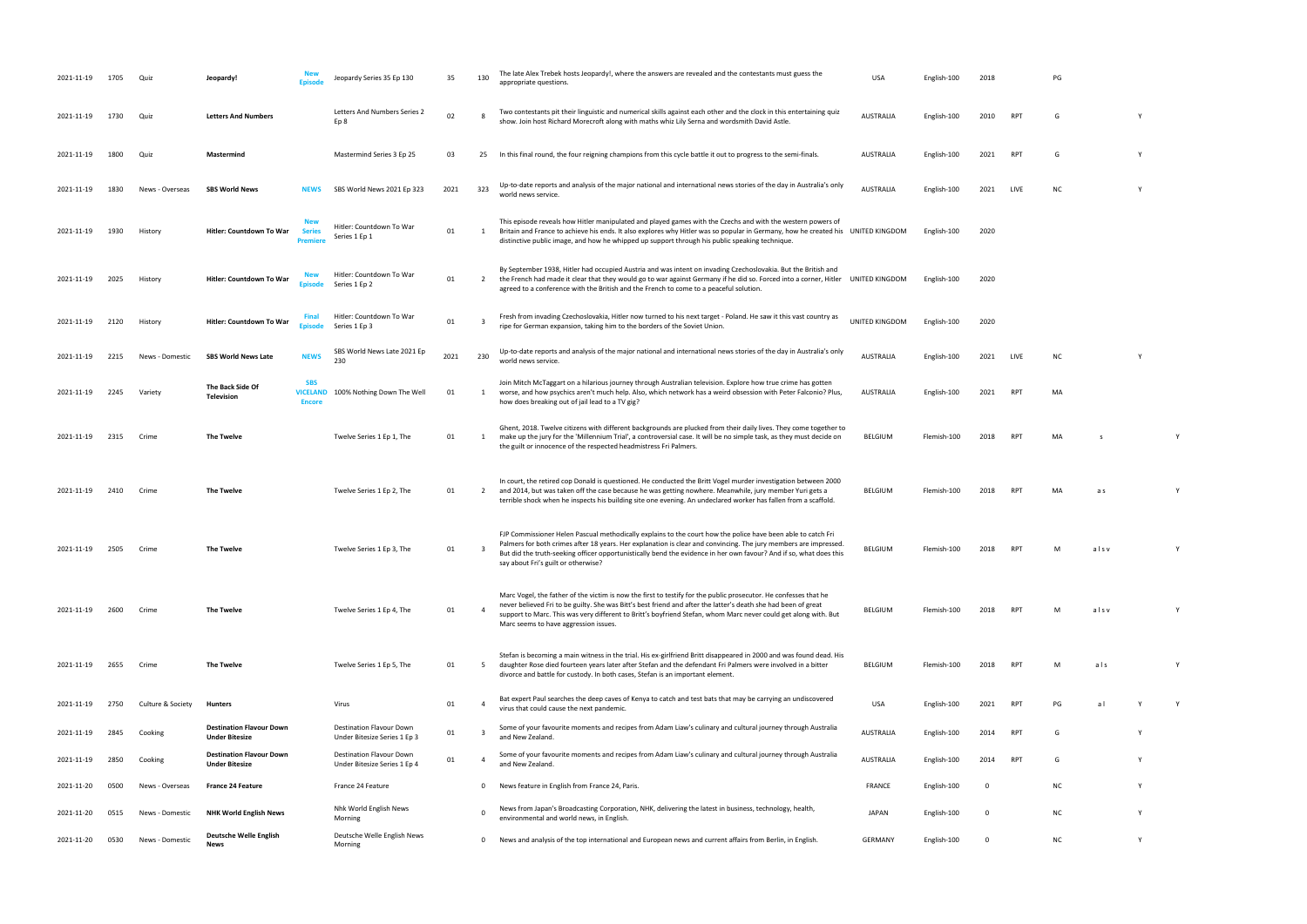| 2021-11-19 | 1705 | Quiz              | Jeopardy!                                                |                                                | Jeopardy Series 35 Ep 130                                       | 35   | 130            | The late Alex Trebek hosts Jeopardy!, where the answers are revealed and the contestants must guess the<br>appropriate questions.                                                                                                                                                                                                                                                              | <b>USA</b>       | English-100 | 2018     |            | PG        |      |   |
|------------|------|-------------------|----------------------------------------------------------|------------------------------------------------|-----------------------------------------------------------------|------|----------------|------------------------------------------------------------------------------------------------------------------------------------------------------------------------------------------------------------------------------------------------------------------------------------------------------------------------------------------------------------------------------------------------|------------------|-------------|----------|------------|-----------|------|---|
| 2021-11-19 | 1730 | Quiz              | <b>Letters And Numbers</b>                               |                                                | Letters And Numbers Series 2<br>Ep 8                            | 02   | -8             | Two contestants pit their linguistic and numerical skills against each other and the clock in this entertaining quiz<br>show. Join host Richard Morecroft along with maths whiz Lily Serna and wordsmith David Astle.                                                                                                                                                                          | <b>AUSTRALIA</b> | English-100 | 2010     | RPT        | G         |      |   |
| 2021-11-19 | 1800 | Quiz              | Mastermind                                               |                                                | Mastermind Series 3 Ep 25                                       | 03   | 25             | In this final round, the four reigning champions from this cycle battle it out to progress to the semi-finals.                                                                                                                                                                                                                                                                                 | <b>AUSTRALIA</b> | English-100 | 2021     | RPT        | G         |      |   |
| 2021-11-19 | 1830 | News - Overseas   | <b>SBS World News</b>                                    | <b>NEWS</b>                                    | SBS World News 2021 Ep 323                                      | 2021 | 323            | Up-to-date reports and analysis of the major national and international news stories of the day in Australia's only<br>world news service.                                                                                                                                                                                                                                                     | <b>AUSTRALIA</b> | English-100 | 2021     | LIVE       | ΝC        |      |   |
| 2021-11-19 | 1930 | History           | Hitler: Countdown To War                                 | <b>New</b><br><b>Series</b><br><b>Premier</b>  | Hitler: Countdown To War<br>Series 1 Ep 1                       | 01   | 1              | This episode reveals how Hitler manipulated and played games with the Czechs and with the western powers of<br>Britain and France to achieve his ends. It also explores why Hitler was so popular in Germany, how he created his UNITED KINGDOM<br>distinctive public image, and how he whipped up support through his public speaking technique.                                              |                  | English-100 | 2020     |            |           |      |   |
| 2021-11-19 | 2025 | History           | Hitler: Countdown To War                                 |                                                | Hitler: Countdown To War<br>Series 1 Ep 2                       | 01   | $\overline{2}$ | By September 1938, Hitler had occupied Austria and was intent on invading Czechoslovakia. But the British and<br>the French had made it clear that they would go to war against Germany if he did so. Forced into a corner, Hitler UNITED KINGDOM<br>agreed to a conference with the British and the French to come to a peaceful solution.                                                    |                  | English-100 | 2020     |            |           |      |   |
| 2021-11-19 | 2120 | History           | Hitler: Countdown To War                                 | Final<br><b>Episode</b>                        | Hitler: Countdown To War<br>Series 1 Ep 3                       | 01   | - 3            | Fresh from invading Czechoslovakia, Hitler now turned to his next target - Poland. He saw it this vast country as<br>ripe for German expansion, taking him to the borders of the Soviet Union.                                                                                                                                                                                                 | UNITED KINGDOM   | English-100 | 2020     |            |           |      |   |
| 2021-11-19 | 2215 | News - Domestic   | <b>SBS World News Late</b>                               | <b>NEWS</b>                                    | SBS World News Late 2021 Ep<br>230                              | 2021 | 230            | Up-to-date reports and analysis of the major national and international news stories of the day in Australia's only<br>world news service.                                                                                                                                                                                                                                                     | <b>AUSTRALIA</b> | English-100 | 2021     | LIVE       | <b>NC</b> |      |   |
| 2021-11-19 | 2245 | Variety           | The Back Side Of<br>Television                           | <b>SBS</b><br><b>VICELAND</b><br><b>Encore</b> | 100% Nothing Down The Well                                      | 01   | 1              | Join Mitch McTaggart on a hilarious journey through Australian television. Explore how true crime has gotten<br>worse, and how psychics aren't much help. Also, which network has a weird obsession with Peter Falconio? Plus,<br>how does breaking out of jail lead to a TV gig?                                                                                                              | AUSTRALIA        | English-100 | 2021     | RPT        | MA        |      |   |
| 2021-11-19 | 2315 | Crime             | <b>The Twelve</b>                                        |                                                | Twelve Series 1 Ep 1, The                                       | 01   | 1              | Ghent, 2018. Twelve citizens with different backgrounds are plucked from their daily lives. They come together to<br>make up the jury for the 'Millennium Trial', a controversial case. It will be no simple task, as they must decide on<br>the guilt or innocence of the respected headmistress Fri Palmers.                                                                                 | <b>BELGIUM</b>   | Flemish-100 | 2018     | <b>RPT</b> | MA        |      |   |
| 2021-11-19 | 2410 | Crime             | The Twelve                                               |                                                | Twelve Series 1 Ep 2, The                                       | 01   | 2              | In court, the retired cop Donald is questioned. He conducted the Britt Vogel murder investigation between 2000<br>and 2014, but was taken off the case because he was getting nowhere. Meanwhile, jury member Yuri gets a<br>terrible shock when he inspects his building site one evening. An undeclared worker has fallen from a scaffold.                                                   | <b>BELGIUM</b>   | Flemish-100 | 2018     | <b>RPT</b> | MA        | a s  |   |
| 2021-11-19 | 2505 | Crime             | <b>The Twelve</b>                                        |                                                | Twelve Series 1 Ep 3, The                                       | 01   |                | FJP Commissioner Helen Pascual methodically explains to the court how the police have been able to catch Fri<br>Palmers for both crimes after 18 years. Her explanation is clear and convincing. The jury members are impressed.<br>But did the truth-seeking officer opportunistically bend the evidence in her own favour? And if so, what does this<br>say about Fri's guilt or otherwise?  | <b>BELGIUM</b>   | Flemish-100 | 2018     | <b>RPT</b> | M         | alsv | Y |
| 2021-11-19 | 2600 | Crime             | <b>The Twelve</b>                                        |                                                | Twelve Series 1 Ep 4, The                                       | 01   |                | Marc Vogel, the father of the victim is now the first to testify for the public prosecutor. He confesses that he<br>never believed Fri to be guilty. She was Bitt's best friend and after the latter's death she had been of great<br>support to Marc. This was very different to Britt's boyfriend Stefan, whom Marc never could get along with. But<br>Marc seems to have aggression issues. | <b>BELGIUM</b>   | Flemish-100 | 2018     | <b>RPT</b> | M         | alsv | Y |
| 2021-11-19 | 2655 | Crime             | <b>The Twelve</b>                                        |                                                | Twelve Series 1 Ep 5, The                                       | 01   | 5              | Stefan is becoming a main witness in the trial. His ex-girlfriend Britt disappeared in 2000 and was found dead. His<br>daughter Rose died fourteen years later after Stefan and the defendant Fri Palmers were involved in a bitter<br>divorce and battle for custody. In both cases, Stefan is an important element.                                                                          | <b>BELGIUM</b>   | Flemish-100 | 2018     | <b>RPT</b> | M         | als  |   |
| 2021-11-19 | 2750 | Culture & Society | Hunters                                                  |                                                | Virus                                                           | 01   | $\overline{4}$ | Bat expert Paul searches the deep caves of Kenya to catch and test bats that may be carrying an undiscovered<br>virus that could cause the next pandemic.                                                                                                                                                                                                                                      | USA              | English-100 | 2021     | <b>RPT</b> | PG        | al   |   |
| 2021-11-19 | 2845 | Cooking           | <b>Destination Flavour Down</b><br><b>Under Bitesize</b> |                                                | <b>Destination Flavour Down</b><br>Under Bitesize Series 1 Ep 3 | 01   | $\mathbf{a}$   | Some of your favourite moments and recipes from Adam Liaw's culinary and cultural journey through Australia<br>and New Zealand.                                                                                                                                                                                                                                                                | <b>AUSTRALIA</b> | English-100 | 2014     | <b>RPT</b> | G         |      |   |
| 2021-11-19 | 2850 | Cooking           | <b>Destination Flavour Down</b><br><b>Under Bitesize</b> |                                                | Destination Flavour Down<br>Under Bitesize Series 1 Ep 4        | 01   | $\overline{a}$ | Some of your favourite moments and recipes from Adam Liaw's culinary and cultural journey through Australia<br>and New Zealand.                                                                                                                                                                                                                                                                | <b>AUSTRALIA</b> | English-100 | 2014     | <b>RPT</b> | G         |      |   |
| 2021-11-20 | 0500 | News - Overseas   | <b>France 24 Feature</b>                                 |                                                | France 24 Feature                                               |      | $\mathbf{0}$   | News feature in English from France 24, Paris.                                                                                                                                                                                                                                                                                                                                                 | <b>FRANCE</b>    | English-100 | $\Omega$ |            | <b>NC</b> |      |   |
| 2021-11-20 | 0515 | News - Domestic   | <b>NHK World English News</b>                            |                                                | Nhk World English News<br>Morning                               |      | $\mathbf 0$    | News from Japan's Broadcasting Corporation, NHK, delivering the latest in business, technology, health,<br>environmental and world news, in English.                                                                                                                                                                                                                                           | <b>JAPAN</b>     | English-100 | 0        |            | <b>NC</b> |      |   |
| 2021-11-20 | 0530 | News - Domestic   | <b>Deutsche Welle English</b><br>News                    |                                                | Deutsche Welle English News<br>Morning                          |      | $\overline{0}$ | News and analysis of the top international and European news and current affairs from Berlin, in English.                                                                                                                                                                                                                                                                                      | <b>GERMANY</b>   | English-100 | 0        |            | NC.       |      |   |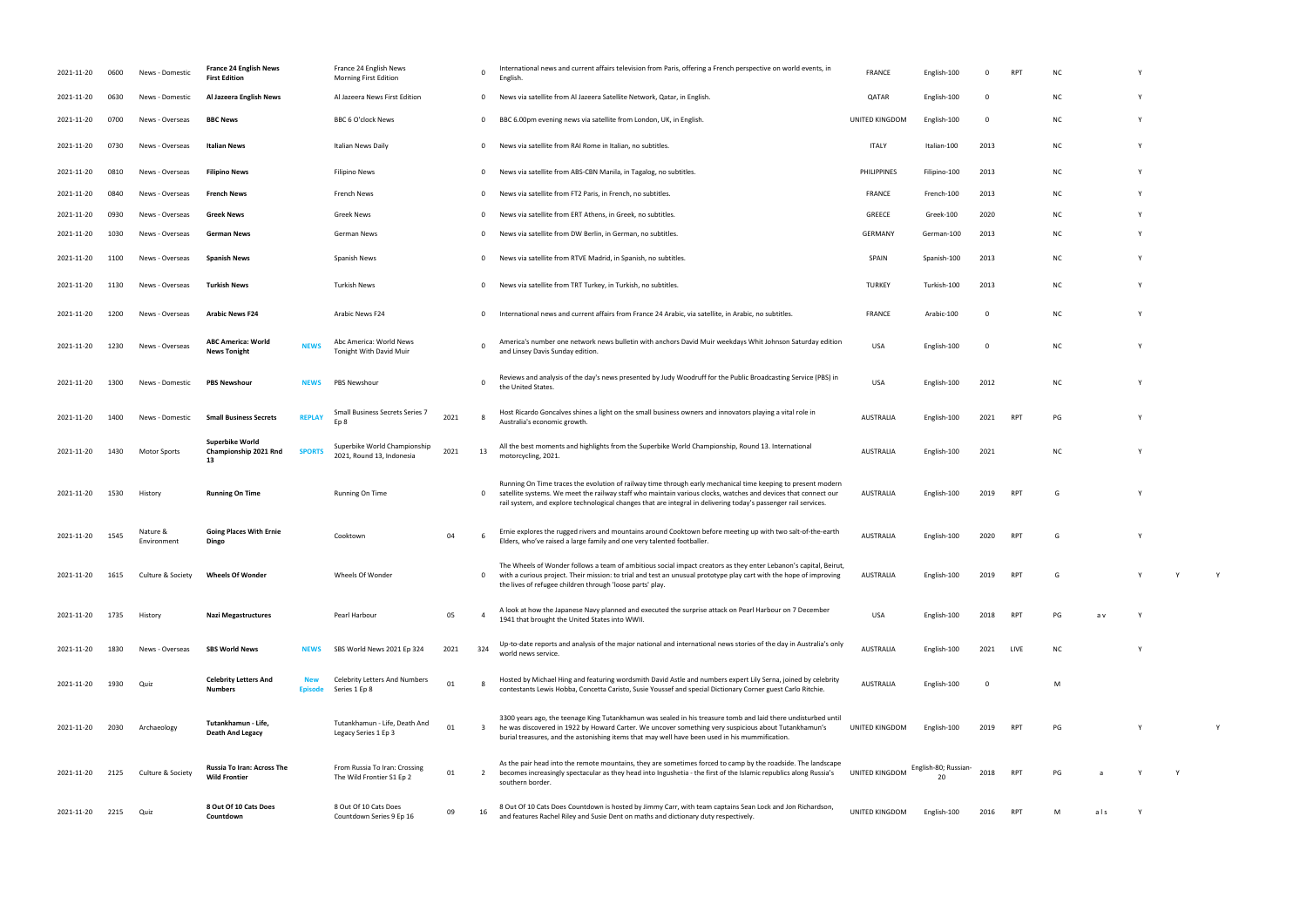| 2021-11-20 | 0600 | News - Domestic         | <b>France 24 English News</b><br><b>First Edition</b>                   | France 24 English News<br>Morning First Edition            |      | $\mathbf 0$             | International news and current affairs television from Paris, offering a French perspective on world events, in<br>English                                                                                                                                                                                                                        | <b>FRANCE</b>         | English-100          |          | RP <sub>1</sub> | ΝC        |     |          |   |
|------------|------|-------------------------|-------------------------------------------------------------------------|------------------------------------------------------------|------|-------------------------|---------------------------------------------------------------------------------------------------------------------------------------------------------------------------------------------------------------------------------------------------------------------------------------------------------------------------------------------------|-----------------------|----------------------|----------|-----------------|-----------|-----|----------|---|
| 2021-11-20 | 0630 | News - Domestic         | Al Jazeera English News                                                 | Al Jazeera News First Edition                              |      | 0                       | News via satellite from Al Jazeera Satellite Network, Qatar, in English.                                                                                                                                                                                                                                                                          | QATAR                 | English-100          |          |                 | NC.       |     |          |   |
| 2021-11-20 | 0700 | News - Overseas         | <b>BBC News</b>                                                         | BBC 6 O'clock News                                         |      | 0                       | BBC 6.00pm evening news via satellite from London, UK, in English.                                                                                                                                                                                                                                                                                | UNITED KINGDOM        | English-100          | - 0      |                 | <b>NC</b> |     |          |   |
| 2021-11-20 | 0730 | News - Overseas         | Italian News                                                            | Italian News Daily                                         |      | $\mathbf{0}$            | News via satellite from RAI Rome in Italian, no subtitles.                                                                                                                                                                                                                                                                                        | <b>ITALY</b>          | Italian-100          | 2013     |                 | <b>NC</b> |     | <b>Y</b> |   |
| 2021-11-20 | 0810 | News - Overseas         | <b>Filipino News</b>                                                    | <b>Filipino News</b>                                       |      | $\mathbf{0}$            | News via satellite from ABS-CBN Manila, in Tagalog, no subtitles.                                                                                                                                                                                                                                                                                 | <b>PHILIPPINES</b>    | Filipino-100         | 2013     |                 | <b>NC</b> |     | Y        |   |
| 2021-11-20 | 0840 | News - Overseas         | <b>French News</b>                                                      | French News                                                |      | 0                       | News via satellite from FT2 Paris, in French, no subtitles.                                                                                                                                                                                                                                                                                       | <b>FRANCE</b>         | French-100           | 2013     |                 | <b>NC</b> |     | Y        |   |
| 2021-11-20 | 0930 | News - Overseas         | <b>Greek News</b>                                                       | <b>Greek News</b>                                          |      | $^{\circ}$              | News via satellite from ERT Athens, in Greek, no subtitles.                                                                                                                                                                                                                                                                                       | GREECE                | Greek-100            | 2020     |                 | NC.       |     | Y        |   |
| 2021-11-20 | 1030 | News - Overseas         | German News                                                             | German News                                                |      | 0                       | News via satellite from DW Berlin, in German, no subtitles.                                                                                                                                                                                                                                                                                       | GERMANY               | German-100           | 2013     |                 | <b>NC</b> |     | Y        |   |
| 2021-11-20 | 1100 | News - Overseas         | <b>Spanish News</b>                                                     | Spanish News                                               |      | 0                       | News via satellite from RTVE Madrid, in Spanish, no subtitles.                                                                                                                                                                                                                                                                                    | SPAIN                 | Spanish-100          | 2013     |                 | <b>NC</b> |     | Y        |   |
| 2021-11-20 | 1130 | News - Overseas         | Turkish News                                                            | <b>Turkish News</b>                                        |      | 0                       | News via satellite from TRT Turkey, in Turkish, no subtitles.                                                                                                                                                                                                                                                                                     | <b>TURKEY</b>         | Turkish-100          | 2013     |                 | NC.       |     | Y        |   |
| 2021-11-20 | 1200 | News - Overseas         | <b>Arabic News F24</b>                                                  | Arabic News F24                                            |      | $\mathbf 0$             | International news and current affairs from France 24 Arabic, via satellite, in Arabic, no subtitles.                                                                                                                                                                                                                                             | <b>FRANCE</b>         | Arabic-100           | $\Omega$ |                 | <b>NC</b> |     | Y        |   |
| 2021-11-20 | 1230 | News - Overseas         | <b>ABC America: World</b><br>NEWS<br><b>News Tonight</b>                | Abc America: World News<br>Tonight With David Muir         |      | $\Omega$                | America's number one network news bulletin with anchors David Muir weekdays Whit Johnson Saturday edition<br>and Linsey Davis Sunday edition.                                                                                                                                                                                                     | <b>USA</b>            | English-100          |          |                 | <b>NC</b> |     | Y        |   |
| 2021-11-20 | 1300 | News - Domestic         | <b>PBS Newshour</b><br>NEWS                                             | PBS Newshour                                               |      | $\Omega$                | Reviews and analysis of the day's news presented by Judy Woodruff for the Public Broadcasting Service (PBS) in<br>the United States.                                                                                                                                                                                                              | <b>USA</b>            | English-100          | 2012     |                 | <b>NC</b> |     | Y        |   |
| 2021-11-20 | 1400 | News - Domestic         | <b>REPLAY</b><br><b>Small Business Secrets</b>                          | Small Business Secrets Series 7<br>En ۶                    | 2021 | -8                      | Host Ricardo Goncalves shines a light on the small business owners and innovators playing a vital role in<br>Australia's economic growth.                                                                                                                                                                                                         | <b>AUSTRALIA</b>      | English-100          | 2021     | <b>RPT</b>      | PG        |     | Y        |   |
| 2021-11-20 | 1430 | Motor Sports            | <b>Superbike World</b><br>Championship 2021 Rnd<br><b>SPORTS</b><br>13  | Superbike World Championship<br>2021, Round 13, Indonesia  | 2021 | 13                      | All the best moments and highlights from the Superbike World Championship, Round 13. International<br>motorcycling, 2021.                                                                                                                                                                                                                         | AUSTRALIA             | English-100          | 2021     |                 | <b>NC</b> |     | <b>Y</b> |   |
| 2021-11-20 | 1530 | History                 | <b>Running On Time</b>                                                  | <b>Running On Time</b>                                     |      | $\mathbf 0$             | Running On Time traces the evolution of railway time through early mechanical time keeping to present modern<br>satellite systems. We meet the railway staff who maintain various clocks, watches and devices that connect our<br>rail system, and explore technological changes that are integral in delivering today's passenger rail services. | <b>AUSTRALIA</b>      | English-100          | 2019     | <b>RPT</b>      | G         |     | <b>Y</b> |   |
| 2021-11-20 | 1545 | Nature &<br>Environment | <b>Going Places With Ernie</b><br>Dingo                                 | Cooktown                                                   | 04   |                         | Ernie explores the rugged rivers and mountains around Cooktown before meeting up with two salt-of-the-earth<br>Elders, who've raised a large family and one very talented footballer.                                                                                                                                                             | AUSTRALIA             | English-100          | 2020     | <b>RPT</b>      | G         |     | Y        |   |
| 2021-11-20 | 1615 | Culture & Society       | <b>Wheels Of Wonder</b>                                                 | Wheels Of Wonder                                           |      | $\mathbf{0}$            | The Wheels of Wonder follows a team of ambitious social impact creators as they enter Lebanon's capital, Beirut,<br>with a curious project. Their mission: to trial and test an unusual prototype play cart with the hope of improving<br>the lives of refugee children through 'loose parts' play.                                               | AUSTRALIA             | English-100          | 2019     | RPT             | G         |     |          |   |
| 2021-11-20 | 1735 | History                 | <b>Nazi Megastructures</b>                                              | Pearl Harbour                                              | 05   | $\Delta$                | A look at how the Japanese Navy planned and executed the surprise attack on Pearl Harbour on 7 December<br>1941 that brought the United States into WWII.                                                                                                                                                                                         | <b>USA</b>            | English-100          | 2018     | <b>RPT</b>      | PG        | a v |          |   |
| 2021-11-20 | 1830 | News - Overseas         | <b>SBS World News</b><br>NEWS                                           | SBS World News 2021 Ep 324                                 | 2021 | 324                     | Up-to-date reports and analysis of the major national and international news stories of the day in Australia's only<br>world news service.                                                                                                                                                                                                        | AUSTRALIA             | English-100          | 2021     | LIVE            | <b>NC</b> |     | <b>Y</b> |   |
| 2021-11-20 | 1930 | Quiz                    | <b>Celebrity Letters And</b><br><b>New</b><br>Numbers<br><b>Episode</b> | <b>Celebrity Letters And Numbers</b><br>Series 1 Ep 8      | 01   |                         | Hosted by Michael Hing and featuring wordsmith David Astle and numbers expert Lily Serna, joined by celebrity<br>contestants Lewis Hobba, Concetta Caristo, Susie Youssef and special Dictionary Corner guest Carlo Ritchie.                                                                                                                      | <b>AUSTRALIA</b>      | English-100          |          |                 | M         |     |          |   |
| 2021-11-20 | 2030 | Archaeology             | Tutankhamun - Life,<br>Death And Legacy                                 | Tutankhamun - Life, Death And<br>Legacy Series 1 Ep 3      | 01   | $\overline{\mathbf{3}}$ | 3300 years ago, the teenage King Tutankhamun was sealed in his treasure tomb and laid there undisturbed until<br>he was discovered in 1922 by Howard Carter. We uncover something very suspicious about Tutankhamun's<br>burial treasures, and the astonishing items that may well have been used in his mummification.                           | UNITED KINGDOM        | English-100          | 2019     | RPT             | PG        |     | Y        | Y |
| 2021-11-20 | 2125 | Culture & Society       | Russia To Iran: Across The<br>Wild Frontier                             | From Russia To Iran: Crossing<br>The Wild Frontier S1 Ep 2 | 01   | 2                       | As the pair head into the remote mountains, they are sometimes forced to camp by the roadside. The landscape<br>becomes increasingly spectacular as they head into Ingushetia - the first of the Islamic republics along Russia's<br>southern border.                                                                                             | UNITED KINGDOM        | English-80; Russian- | 2018     | <b>RPT</b>      | PG        |     |          |   |
| 2021-11-20 | 2215 | Quiz                    | 8 Out Of 10 Cats Does<br>Countdown                                      | 8 Out Of 10 Cats Does<br>Countdown Series 9 Ep 16          | 09   | 16                      | 8 Out Of 10 Cats Does Countdown is hosted by Jimmy Carr, with team captains Sean Lock and Jon Richardson,<br>and features Rachel Riley and Susie Dent on maths and dictionary duty respectively.                                                                                                                                                  | <b>UNITED KINGDOM</b> | English-100          | 2016     | <b>RPT</b>      | M         | als | Y        |   |